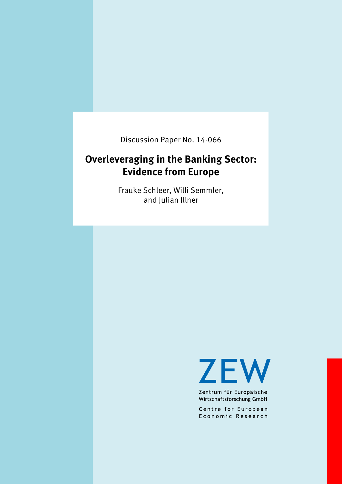Discussion Paper No. 14-066

# **Overleveraging in the Banking Sector: Evidence from Europe**

Frauke Schleer, Willi Semmler, and Julian Illner

**ZEW** 

Zentrum für Europäische Wirtschaftsforschung GmbH

Centre for European Economic Research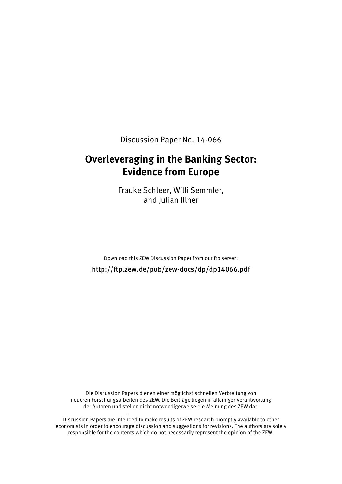Discussion Paper No. 14-066

## **Overleveraging in the Banking Sector: Evidence from Europe**

Frauke Schleer, Willi Semmler, and Julian Illner

Download this ZEW Discussion Paper from our ftp server: http://ftp.zew.de/pub/zew-docs/dp/dp14066.pdf

Die Discussion Papers dienen einer möglichst schnellen Verbreitung von neueren Forschungsarbeiten des ZEW. Die Beiträge liegen in alleiniger Verantwortung der Autoren und stellen nicht notwendigerweise die Meinung des ZEW dar.

Discussion Papers are intended to make results of ZEW research promptly available to other economists in order to encourage discussion and suggestions for revisions. The authors are solely responsible for the contents which do not necessarily represent the opinion of the ZEW.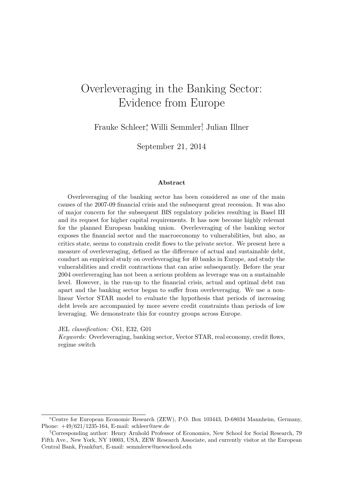# Overleveraging in the Banking Sector: Evidence from Europe

Frauke Schleer<sup>∗</sup> , Willi Semmler† , Julian Illner

September 21, 2014

#### Abstract

Overleveraging of the banking sector has been considered as one of the main causes of the 2007-09 financial crisis and the subsequent great recession. It was also of major concern for the subsequent BIS regulatory policies resulting in Basel III and its request for higher capital requirements. It has now become highly relevant for the planned European banking union. Overleveraging of the banking sector exposes the financial sector and the macroeconomy to vulnerabilities, but also, as critics state, seems to constrain credit flows to the private sector. We present here a measure of overleveraging, defined as the difference of actual and sustainable debt, conduct an empirical study on overleveraging for 40 banks in Europe, and study the vulnerabilities and credit contractions that can arise subsequently. Before the year 2004 overleveraging has not been a serious problem as leverage was on a sustainable level. However, in the run-up to the financial crisis, actual and optimal debt ran apart and the banking sector began to suffer from overleveraging. We use a nonlinear Vector STAR model to evaluate the hypothesis that periods of increasing debt levels are accompanied by more severe credit constraints than periods of low leveraging. We demonstrate this for country groups across Europe.

JEL classification: C61, E32, G01

Keywords: Overleveraging, banking sector, Vector STAR, real economy, credit flows, regime switch

<sup>∗</sup>Centre for European Economic Research (ZEW), P.O. Box 103443, D-68034 Mannheim, Germany, Phone: +49/621/1235-164, E-mail: schleer@zew.de

<sup>†</sup>Corresponding author: Henry Arnhold Professor of Economics, New School for Social Research, 79 Fifth Ave., New York, NY 10003, USA, ZEW Research Associate, and currently visitor at the European Central Bank, Frankfurt, E-mail: semmlerw@newschool.edu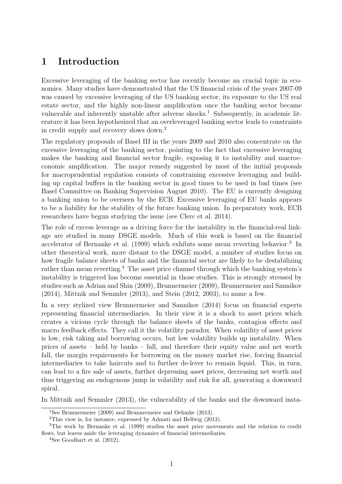## 1 Introduction

Excessive leveraging of the banking sector has recently become an crucial topic in economics. Many studies have demonstrated that the US financial crisis of the years 2007-09 was caused by excessive leveraging of the US banking sector, its exposure to the US real estate sector, and the highly non-linear amplification once the banking sector became vulnerable and inherently unstable after adverse shocks.<sup>1</sup> Subsequently, in academic literature it has been hypothesized that an overleveraged banking sector leads to constraints in credit supply and recovery slows down.<sup>2</sup>

The regulatory proposals of Basel III in the years 2009 and 2010 also concentrate on the excessive leveraging of the banking sector, pointing to the fact that excessive leveraging makes the banking and financial sector fragile, exposing it to instability and macroeconomic amplification. The major remedy suggested by most of the initial proposals for macroprudential regulation consists of constraining excessive leveraging and building up capital buffers in the banking sector in good times to be used in bad times (see Basel Committee on Banking Supervision August 2010). The EU is currently designing a banking union to be overseen by the ECB. Excessive leveraging of EU banks appears to be a liability for the stability of the future banking union. In preparatory work, ECB researchers have begun studying the issue (see Clerc et al. 2014).

The role of excess leverage as a driving force for the instability in the financial-real linkage are studied in many DSGE models. Much of this work is based on the financial accelerator of Bernanke et al. (1999) which exhibits some mean reverting behavior.<sup>3</sup> In other theoretical work, more distant to the DSGE model, a number of studies focus on how fragile balance sheets of banks and the financial sector are likely to be destabilizing rather than mean reverting.<sup>4</sup> The asset price channel through which the banking system's instability is triggered has become essential in those studies. This is strongly stressed by studies such as Adrian and Shin (2009), Brunnermeier (2009), Brunnermeier and Sannikov (2014), Mittnik and Semmler (2013), and Stein (2012, 2003), to name a few.

In a very stylized view Brunnermeier and Sannikov (2014) focus on financial experts representing financial intermediaries. In their view it is a shock to asset prices which creates a vicious cycle through the balance sheets of the banks, contagion effects and macro feedback effects. They call it the volatility paradox. When volatility of asset prices is low, risk taking and borrowing occurs, but low volatility builds up instability. When prices of assets – held by banks – fall, and therefore their equity value and net worth fall, the margin requirements for borrowing on the money market rise, forcing financial intermediaries to take haircuts and to further de-lever to remain liquid. This, in turn, can lead to a fire sale of assets, further depressing asset prices, decreasing net worth and thus triggering an endogenous jump in volatility and risk for all, generating a downward spiral.

In Mittnik and Semmler (2013), the vulnerability of the banks and the downward insta-

<sup>1</sup>See Brunnermeier (2009) and Brunnermeier and Oehmke (2013).

<sup>2</sup>This view is, for instance, expressed by Admati and Hellwig (2013).

<sup>3</sup>The work by Bernanke et al. (1999) studies the asset price movements and the relation to credit flows, but leaves aside the leveraging dynamics of financial intermediaries.

<sup>&</sup>lt;sup>4</sup>See Goodhart et al.  $(2012)$ .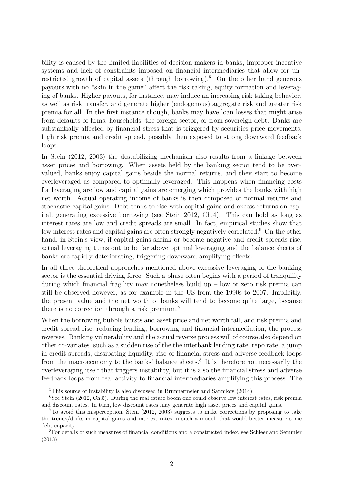bility is caused by the limited liabilities of decision makers in banks, improper incentive systems and lack of constraints imposed on financial intermediaries that allow for unrestricted growth of capital assets (through borrowing).<sup>5</sup> On the other hand generous payouts with no "skin in the game" affect the risk taking, equity formation and leveraging of banks. Higher payouts, for instance, may induce an increasing risk taking behavior, as well as risk transfer, and generate higher (endogenous) aggregate risk and greater risk premia for all. In the first instance though, banks may have loan losses that might arise from defaults of firms, households, the foreign sector, or from sovereign debt. Banks are substantially affected by financial stress that is triggered by securities price movements, high risk premia and credit spread, possibly then exposed to strong downward feedback loops.

In Stein (2012, 2003) the destabilizing mechanism also results from a linkage between asset prices and borrowing. When assets held by the banking sector tend to be overvalued, banks enjoy capital gains beside the normal returns, and they start to become overleveraged as compared to optimally leveraged. This happens when financing costs for leveraging are low and capital gains are emerging which provides the banks with high net worth. Actual operating income of banks is then composed of normal returns and stochastic capital gains. Debt tends to rise with capital gains and excess returns on capital, generating excessive borrowing (see Stein 2012, Ch.4). This can hold as long as interest rates are low and credit spreads are small. In fact, empirical studies show that low interest rates and capital gains are often strongly negatively correlated.<sup>6</sup> On the other hand, in Stein's view, if capital gains shrink or become negative and credit spreads rise, actual leveraging turns out to be far above optimal leveraging and the balance sheets of banks are rapidly deteriorating, triggering downward amplifying effects.

In all three theoretical approaches mentioned above excessive leveraging of the banking sector is the essential driving force. Such a phase often begins with a period of tranquility during which financial fragility may nonetheless build up  $-$  low or zero risk premia can still be observed however, as for example in the US from the 1990s to 2007. Implicitly, the present value and the net worth of banks will tend to become quite large, because there is no correction through a risk premium.<sup>7</sup>

When the borrowing bubble bursts and asset price and net worth fall, and risk premia and credit spread rise, reducing lending, borrowing and financial intermediation, the process reverses. Banking vulnerability and the actual reverse process will of course also depend on other co-variates, such as a sudden rise of the the interbank lending rate, repo rate, a jump in credit spreads, dissipating liquidity, rise of financial stress and adverse feedback loops from the macroeconomy to the banks' balance sheets.<sup>8</sup> It is therefore not necessarily the overleveraging itself that triggers instability, but it is also the financial stress and adverse feedback loops from real activity to financial intermediaries amplifying this process. The

<sup>5</sup>This source of instability is also discussed in Brunnermeier and Sannikov (2014).

<sup>&</sup>lt;sup>6</sup>See Stein (2012, Ch.5). During the real estate boom one could observe low interest rates, risk premia and discount rates. In turn, low discount rates may generate high asset prices and capital gains.

<sup>7</sup>To avoid this misperception, Stein (2012, 2003) suggests to make corrections by proposing to take the trends/drifts in capital gains and interest rates in such a model, that would better measure some debt capacity.

<sup>8</sup>For details of such measures of financial conditions and a constructed index, see Schleer and Semmler (2013).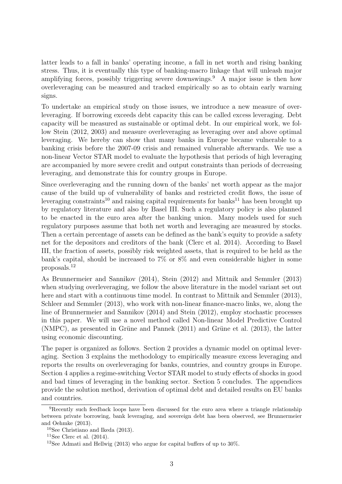latter leads to a fall in banks' operating income, a fall in net worth and rising banking stress. Thus, it is eventually this type of banking-macro linkage that will unleash major amplifying forces, possibly triggering severe downswings.<sup>9</sup> A major issue is then how overleveraging can be measured and tracked empirically so as to obtain early warning signs.

To undertake an empirical study on those issues, we introduce a new measure of overleveraging. If borrowing exceeds debt capacity this can be called excess leveraging. Debt capacity will be measured as sustainable or optimal debt. In our empirical work, we follow Stein (2012, 2003) and measure overleveraging as leveraging over and above optimal leveraging. We hereby can show that many banks in Europe became vulnerable to a banking crisis before the 2007-09 crisis and remained vulnerable afterwards. We use a non-linear Vector STAR model to evaluate the hypothesis that periods of high leveraging are accompanied by more severe credit and output constraints than periods of decreasing leveraging, and demonstrate this for country groups in Europe.

Since overleveraging and the running down of the banks' net worth appear as the major cause of the build up of vulnerability of banks and restricted credit flows, the issue of leveraging constraints<sup>10</sup> and raising capital requirements for banks<sup>11</sup> has been brought up by regulatory literature and also by Basel III. Such a regulatory policy is also planned to be enacted in the euro area after the banking union. Many models used for such regulatory purposes assume that both net worth and leveraging are measured by stocks. Then a certain percentage of assets can be defined as the bank's equity to provide a safety net for the depositors and creditors of the bank (Clerc et al. 2014). According to Basel III, the fraction of assets, possibly risk weighted assets, that is required to be held as the bank's capital, should be increased to 7% or 8% and even considerable higher in some proposals.<sup>12</sup>

As Brunnermeier and Sannikov (2014), Stein (2012) and Mittnik and Semmler (2013) when studying overleveraging, we follow the above literature in the model variant set out here and start with a continuous time model. In contrast to Mittnik and Semmler (2013), Schleer and Semmler (2013), who work with non-linear finance-macro links, we, along the line of Brunnermeier and Sannikov (2014) and Stein (2012), employ stochastic processes in this paper. We will use a novel method called Non-linear Model Predictive Control  $(NMPC)$ , as presented in Grüne and Pannek  $(2011)$  and Grüne et al.  $(2013)$ , the latter using economic discounting.

The paper is organized as follows. Section 2 provides a dynamic model on optimal leveraging. Section 3 explains the methodology to empirically measure excess leveraging and reports the results on overleveraging for banks, countries, and country groups in Europe. Section 4 applies a regime-switching Vector STAR model to study effects of shocks in good and bad times of leveraging in the banking sector. Section 5 concludes. The appendices provide the solution method, derivation of optimal debt and detailed results on EU banks and countries.

<sup>&</sup>lt;sup>9</sup>Recently such feedback loops have been discussed for the euro area where a triangle relationship between private borrowing, bank leveraging, and sovereign debt has been observed, see Brunnermeier and Oehmke (2013).

<sup>10</sup>See Christiano and Ikeda (2013).

<sup>&</sup>lt;sup>11</sup>See Clerc et al.  $(2014)$ .

<sup>&</sup>lt;sup>12</sup>See Admati and Hellwig (2013) who argue for capital buffers of up to 30%.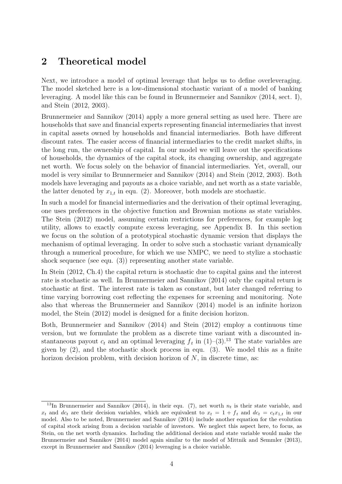## 2 Theoretical model

Next, we introduce a model of optimal leverage that helps us to define overleveraging. The model sketched here is a low-dimensional stochastic variant of a model of banking leveraging. A model like this can be found in Brunnermeier and Sannikov (2014, sect. I), and Stein (2012, 2003).

Brunnermeier and Sannikov (2014) apply a more general setting as used here. There are households that save and financial experts representing financial intermediaries that invest in capital assets owned by households and financial intermediaries. Both have different discount rates. The easier access of financial intermediaries to the credit market shifts, in the long run, the ownership of capital. In our model we will leave out the specifications of households, the dynamics of the capital stock, its changing ownership, and aggregate net worth. We focus solely on the behavior of financial intermediaries. Yet, overall, our model is very similar to Brunnermeier and Sannikov (2014) and Stein (2012, 2003). Both models have leveraging and payouts as a choice variable, and net worth as a state variable, the latter denoted by  $x_{1,t}$  in equ. (2). Moreover, both models are stochastic.

In such a model for financial intermediaries and the derivation of their optimal leveraging, one uses preferences in the objective function and Brownian motions as state variables. The Stein (2012) model, assuming certain restrictions for preferences, for example log utility, allows to exactly compute excess leveraging, see Appendix B. In this section we focus on the solution of a prototypical stochastic dynamic version that displays the mechanism of optimal leveraging. In order to solve such a stochastic variant dynamically through a numerical procedure, for which we use NMPC, we need to stylize a stochastic shock sequence (see equ. (3)) representing another state variable.

In Stein (2012, Ch.4) the capital return is stochastic due to capital gains and the interest rate is stochastic as well. In Brunnermeier and Sannikov (2014) only the capital return is stochastic at first. The interest rate is taken as constant, but later changed referring to time varying borrowing cost reflecting the expenses for screening and monitoring. Note also that whereas the Brunnermeier and Sannikov (2014) model is an infinite horizon model, the Stein (2012) model is designed for a finite decision horizon.

Both, Brunnermeier and Sannikov (2014) and Stein (2012) employ a continuous time version, but we formulate the problem as a discrete time variant with a discounted instantaneous payout  $c_t$  and an optimal leveraging  $f_t$  in  $(1)-(3)$ .<sup>13</sup> The state variables are given by (2), and the stochastic shock process in equ. (3). We model this as a finite horizon decision problem, with decision horizon of  $N$ , in discrete time, as:

<sup>&</sup>lt;sup>13</sup>In Brunnermeier and Sannikov (2014), in their equ. (7), net worth  $n_t$  is their state variable, and  $x_t$  and  $dc_t$  are their decision variables, which are equivalent to  $x_t = 1 + f_t$  and  $dc_t = c_t x_{1,t}$  in our model. Also to be noted, Brunnermeier and Sannikov (2014) include another equation for the evolution of capital stock arising from a decision variable of investors. We neglect this aspect here, to focus, as Stein, on the net worth dynamics. Including the additional decision and state variable would make the Brunnermeier and Sannikov (2014) model again similar to the model of Mittnik and Semmler (2013), except in Brunnermeier and Sannikov (2014) leveraging is a choice variable.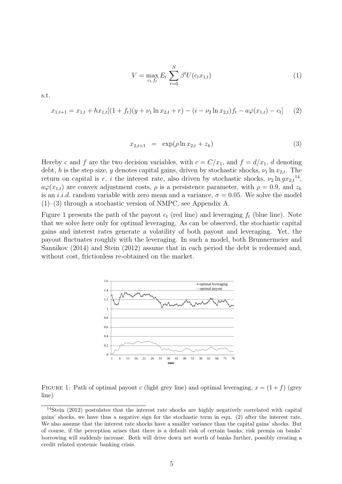$$
V = \max_{c_t, f_t} E_t \sum_{t=0}^{N} \beta^t U(c_t x_{1,t})
$$
\n(1)

$$
x_{1,t+1} = x_{1,t} + hx_{1,t}[(1 + f_t)(y + \nu_1 \ln x_{2,t} + r) - (i - \nu_2 \ln x_{2,t})f_t - a\varphi(x_{1,t}) - c_t]
$$
(2)

$$
x_{2,t+1} = \exp(\rho \ln x_{2,t} + z_k) \tag{3}
$$

Hereby c and f are the two decision variables, with  $c = C/x_1$ , and  $f = d/x_1$ , d denoting debt, h is the step size, y denotes capital gains, driven by stochastic shocks,  $\nu_1 \ln x_{2,t}$ . The return on capital is r, i the interest rate, also driven by stochastic shocks,  $\nu_2 \ln g x_{2,t}^{14}$ ,  $a\varphi(x_{1,t})$  are convex adjustment costs,  $\rho$  is a persistence parameter, with  $\rho = 0.9$ , and  $z_k$ is an *i.i.d.* random variable with zero mean and a variance,  $\sigma = 0.05$ . We solve the model (1)–(3) through a stochastic version of NMPC, see Appendix A.

Figure 1 presents the path of the payout  $c_t$  (red line) and leveraging  $f_t$  (blue line). Note that we solve here only for optimal leveraging. As can be observed, the stochastic capital gains and interest rates generate a volatility of both payout and leveraging. Yet, the payout fluctuates roughly with the leveraging. In such a model, both Brunnermeier and Sannikov (2014) and Stein (2012) assume that in each period the debt is redeemed and, without cost, frictionless re-obtained on the market.



FIGURE 1: Path of optimal payout c (light grey line) and optimal leveraging,  $x = (1 + f)$  (grey line)

s.t.

<sup>14</sup>Stein (2012) postulates that the interest rate shocks are highly negatively correlated with capital gains' shocks, we have thus a negative sign for the stochastic term in equ. (2) after the interest rate. We also assume that the interest rate shocks have a smaller variance than the capital gains' shocks. But of course, if the perception arises that there is a default risk of certain banks, risk premia on banks' borrowing will suddenly increase. Both will drive down net worth of banks further, possibly creating a credit related systemic banking crisis.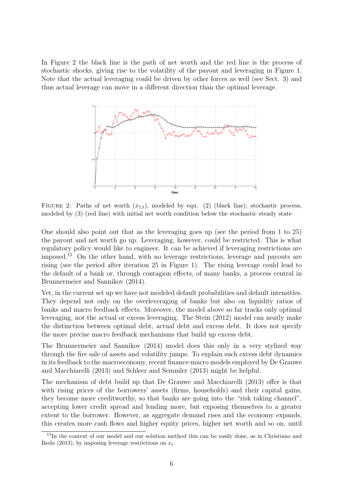In Figure 2 the black line is the path of net worth and the red line is the process of stochastic shocks, giving rise to the volatility of the payout and leveraging in Figure 1. Note that the actual leveraging could be driven by other forces as well (see Sect. 3) and thus actual leverage can move in a different direction than the optimal leverage.



FIGURE 2: Paths of net worth  $(x_{1,t})$ , modeled by equ. (2) (black line); stochastic process, modeled by (3) (red line) with initial net worth condition below the stochastic steady state

One should also point out that as the leveraging goes up (see the period from 1 to 25) the payout and net worth go up. Leveraging, however, could be restricted. This is what regulatory policy would like to engineer. It can be achieved if leveraging restrictions are imposed.<sup>15</sup> On the other hand, with no leverage restrictions, leverage and payouts are rising (see the period after iteration 25 in Figure 1). The rising leverage could lead to the default of a bank or, through contagion effects, of many banks, a process central in Brunnermeier and Sannikov (2014).

Yet, in the current set up we have not modeled default probabilities and default intensities. They depend not only on the overleveraging of banks but also on liquidity ratios of banks and macro feedback effects. Moreover, the model above so far tracks only optimal leveraging, not the actual or excess leveraging. The Stein (2012) model can neatly make the distinction between optimal debt, actual debt and excess debt. It does not specify the more precise macro feedback mechanisms that build up excess debt.

The Brunnermeier and Sannikov (2014) model does this only in a very stylized way through the fire sale of assets and volatility jumps. To explain such excess debt dynamics in its feedback to the macroeconomy, recent finance-macro models employed by De Grauwe and Macchiarelli (2013) and Schleer and Semmler (2013) might be helpful.

The mechanism of debt build up that De Grauwe and Macchiarelli (2013) offer is that with rising prices of the borrowers' assets (firms, households) and their capital gains, they become more creditworthy, so that banks are going into the "risk taking channel", accepting lower credit spread and lending more, but exposing themselves to a greater extent to the borrower. However, as aggregate demand rises and the economy expands, this creates more cash flows and higher equity prices, higher net worth and so on, until

<sup>&</sup>lt;sup>15</sup>In the context of our model and our solution method this can be easily done, as in Christiano and Ikeda (2013), by imposing leverage restrictions on  $x_t$ .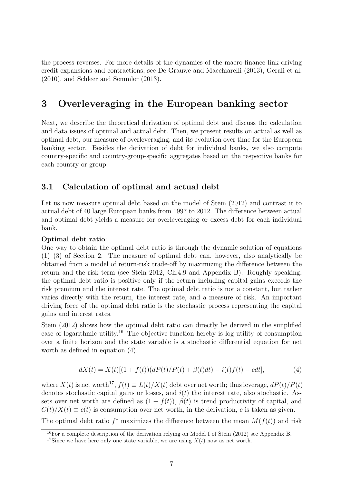the process reverses. For more details of the dynamics of the macro-finance link driving credit expansions and contractions, see De Grauwe and Macchiarelli (2013), Gerali et al. (2010), and Schleer and Semmler (2013).

## 3 Overleveraging in the European banking sector

Next, we describe the theoretical derivation of optimal debt and discuss the calculation and data issues of optimal and actual debt. Then, we present results on actual as well as optimal debt, our measure of overleveraging, and its evolution over time for the European banking sector. Besides the derivation of debt for individual banks, we also compute country-specific and country-group-specific aggregates based on the respective banks for each country or group.

### 3.1 Calculation of optimal and actual debt

Let us now measure optimal debt based on the model of Stein (2012) and contrast it to actual debt of 40 large European banks from 1997 to 2012. The difference between actual and optimal debt yields a measure for overleveraging or excess debt for each individual bank.

#### Optimal debt ratio:

One way to obtain the optimal debt ratio is through the dynamic solution of equations  $(1)$ –(3) of Section 2. The measure of optimal debt can, however, also analytically be obtained from a model of return-risk trade-off by maximizing the difference between the return and the risk term (see Stein 2012, Ch.4.9 and Appendix B). Roughly speaking, the optimal debt ratio is positive only if the return including capital gains exceeds the risk premium and the interest rate. The optimal debt ratio is not a constant, but rather varies directly with the return, the interest rate, and a measure of risk. An important driving force of the optimal debt ratio is the stochastic process representing the capital gains and interest rates.

Stein (2012) shows how the optimal debt ratio can directly be derived in the simplified case of logarithmic utility.<sup>16</sup> The objective function hereby is log utility of consumption over a finite horizon and the state variable is a stochastic differential equation for net worth as defined in equation (4).

$$
dX(t) = X(t)[(1 + f(t))(dP(t)/P(t) + \beta(t)dt) - i(t)f(t) - cdt],
$$
\n(4)

where  $X(t)$  is net worth<sup>17</sup>,  $f(t) \equiv L(t)/X(t)$  debt over net worth; thus leverage,  $dP(t)/P(t)$ denotes stochastic capital gains or losses, and  $i(t)$  the interest rate, also stochastic. Assets over net worth are defined as  $(1 + f(t))$ ,  $\beta(t)$  is trend productivity of capital, and  $C(t)/X(t) \equiv c(t)$  is consumption over net worth, in the derivation, c is taken as given. The optimal debt ratio  $f^*$  maximizes the difference between the mean  $M(f(t))$  and risk

<sup>16</sup>For a complete description of the derivation relying on Model I of Stein (2012) see Appendix B.

<sup>&</sup>lt;sup>17</sup>Since we have here only one state variable, we are using  $X(t)$  now as net worth.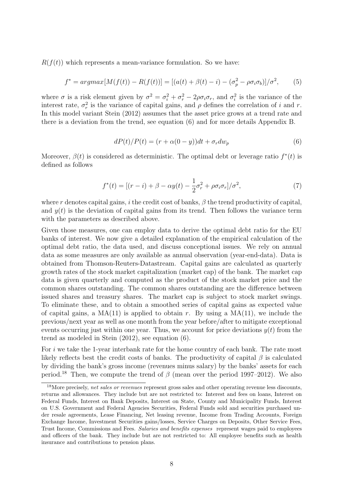$R(f(t))$  which represents a mean-variance formulation. So we have:

$$
f^* = argmax[M(f(t)) - R(f(t))] = [(a(t) + \beta(t) - i) - (\sigma_p^2 - \rho \sigma_i \sigma_b)]/\sigma^2,
$$
(5)

where  $\sigma$  is a risk element given by  $\sigma^2 = \sigma_i^2 + \sigma_r^2 - 2\rho\sigma_i\sigma_r$ , and  $\sigma_i^2$  is the variance of the interest rate,  $\sigma_r^2$  is the variance of capital gains, and  $\rho$  defines the correlation of i and r. In this model variant Stein (2012) assumes that the asset price grows at a trend rate and there is a deviation from the trend, see equation (6) and for more details Appendix B.

$$
dP(t)/P(t) = (r + \alpha(0 - y))dt + \sigma_r dw_p \tag{6}
$$

Moreover,  $\beta(t)$  is considered as deterministic. The optimal debt or leverage ratio  $f^*(t)$  is defined as follows

$$
f^*(t) = [(r-i) + \beta - \alpha y(t) - \frac{1}{2}\sigma_r^2 + \rho \sigma_i \sigma_r]/\sigma^2,
$$
\n(7)

where r denotes capital gains, i the credit cost of banks,  $\beta$  the trend productivity of capital, and  $y(t)$  is the deviation of capital gains from its trend. Then follows the variance term with the parameters as described above.

Given those measures, one can employ data to derive the optimal debt ratio for the EU banks of interest. We now give a detailed explanation of the empirical calculation of the optimal debt ratio, the data used, and discuss conceptional issues. We rely on annual data as some measures are only available as annual observation (year-end-data). Data is obtained from Thomson-Reuters-Datastream. Capital gains are calculated as quarterly growth rates of the stock market capitalization (market cap) of the bank. The market cap data is given quarterly and computed as the product of the stock market price and the common shares outstanding. The common shares outstanding are the difference between issued shares and treasury shares. The market cap is subject to stock market swings. To eliminate these, and to obtain a smoothed series of capital gains as expected value of capital gains, a  $MA(11)$  is applied to obtain r. By using a  $MA(11)$ , we include the previous/next year as well as one month from the year before/after to mitigate exceptional events occurring just within one year. Thus, we account for price deviations  $y(t)$  from the trend as modeled in Stein (2012), see equation (6).

For i we take the 1-year interbank rate for the home country of each bank. The rate most likely reflects best the credit costs of banks. The productivity of capital  $\beta$  is calculated by dividing the bank's gross income (revenues minus salary) by the banks' assets for each period.<sup>18</sup> Then, we compute the trend of  $\beta$  (mean over the period 1997–2012). We also

 $18$ More precisely, net sales or revenues represent gross sales and other operating revenue less discounts, returns and allowances. They include but are not restricted to: Interest and fees on loans, Interest on Federal Funds, Interest on Bank Deposits, Interest on State, County and Municipality Funds, Interest on U.S. Government and Federal Agencies Securities, Federal Funds sold and securities purchased under resale agreements, Lease Financing, Net leasing revenue, Income from Trading Accounts, Foreign Exchange Income, Investment Securities gains/losses, Service Charges on Deposits, Other Service Fees, Trust Income, Commissions and Fees. Salaries and benefits expenses represent wages paid to employees and officers of the bank. They include but are not restricted to: All employee benefits such as health insurance and contributions to pension plans.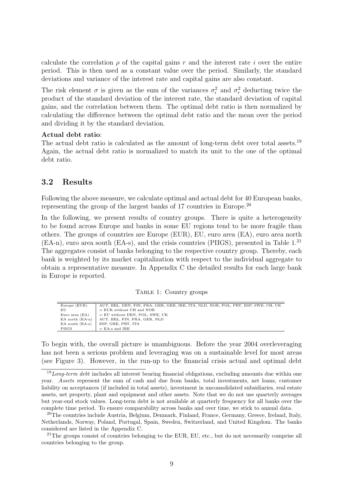calculate the correlation  $\rho$  of the capital gains r and the interest rate i over the entire period. This is then used as a constant value over the period. Similarly, the standard deviations and variance of the interest rate and capital gains are also constant.

The risk element  $\sigma$  is given as the sum of the variances  $\sigma_i^2$  and  $\sigma_r^2$  deducting twice the product of the standard deviation of the interest rate, the standard deviation of capital gains, and the correlation between them. The optimal debt ratio is then normalized by calculating the difference between the optimal debt ratio and the mean over the period and dividing it by the standard deviation.

#### Actual debt ratio:

The actual debt ratio is calculated as the amount of long-term debt over total assets.<sup>19</sup> Again, the actual debt ratio is normalized to match its unit to the one of the optimal debt ratio.

### 3.2 Results

Following the above measure, we calculate optimal and actual debt for 40 European banks, representing the group of the largest banks of 17 countries in Europe.<sup>20</sup>

In the following, we present results of country groups. There is quite a heterogeneity to be found across Europe and banks in some EU regions tend to be more fragile than others. The groups of countries are Europe (EUR), EU, euro area (EA), euro area north (EA-n), euro area south (EA-s), and the crisis countries (PIIGS), presented in Table 1.<sup>21</sup> The aggregates consist of banks belonging to the respective country group. Thereby, each bank is weighted by its market capitalization with respect to the individual aggregate to obtain a representative measure. In Appendix C the detailed results for each large bank in Europe is reported.

|  | TABLE 1: Country groups |  |
|--|-------------------------|--|
|  |                         |  |

| AUT, BEL, DEN, FIN, FRA, GER, GRE, IRE, ITA, NLD, NOR, POL, PRT, ESP, SWE, CH, UK |  |  |  |  |  |  |  |  |  |
|-----------------------------------------------------------------------------------|--|--|--|--|--|--|--|--|--|
| $=$ EUR without CH and NOR                                                        |  |  |  |  |  |  |  |  |  |
| $=$ EU without DEN, POL, SWE, UK                                                  |  |  |  |  |  |  |  |  |  |
| AUT, BEL, FIN, FRA, GER, NLD                                                      |  |  |  |  |  |  |  |  |  |
| ESP, GRE, PRT, ITA                                                                |  |  |  |  |  |  |  |  |  |
| $=$ EA-s and IRE                                                                  |  |  |  |  |  |  |  |  |  |
|                                                                                   |  |  |  |  |  |  |  |  |  |

To begin with, the overall picture is unambiguous. Before the year 2004 overleveraging has not been a serious problem and leveraging was on a sustainable level for most areas (see Figure 3). However, in the run-up to the financial crisis actual and optimal debt

 $19$  Long-term debt includes all interest bearing financial obligations, excluding amounts due within one year. Assets represent the sum of cash and due from banks, total investments, net loans, customer liability on acceptances (if included in total assets), investment in unconsolidated subsidiaries, real estate assets, net property, plant and equipment and other assets. Note that we do not use quarterly averages but year-end stock values. Long-term debt is not available at quarterly frequency for all banks over the complete time period. To ensure comparability across banks and over time, we stick to annual data.

<sup>20</sup>The countries include Austria, Belgium, Denmark, Finland, France, Germany, Greece, Ireland, Italy, Netherlands, Norway, Poland, Portugal, Spain, Sweden, Switzerland, and United Kingdom. The banks considered are listed in the Appendix C.

<sup>&</sup>lt;sup>21</sup>The groups consist of countries belonging to the EUR, EU, etc., but do not necessarily comprise all countries belonging to the group.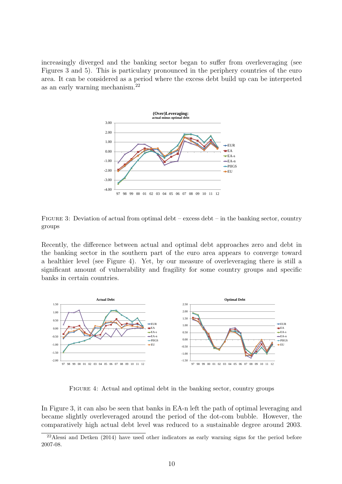increasingly diverged and the banking sector began to suffer from overleveraging (see Figures 3 and 5). This is particulary pronounced in the periphery countries of the euro area. It can be considered as a period where the excess debt build up can be interpreted as an early warning mechanism.<sup>22</sup>





Recently, the difference between actual and optimal debt approaches zero and debt in the banking sector in the southern part of the euro area appears to converge toward a healthier level (see Figure 4). Yet, by our measure of overleveraging there is still a significant amount of vulnerability and fragility for some country groups and specific banks in certain countries.



FIGURE 4: Actual and optimal debt in the banking sector, country groups

In Figure 3, it can also be seen that banks in EA-n left the path of optimal leveraging and became slightly overleveraged around the period of the dot-com bubble. However, the comparatively high actual debt level was reduced to a sustainable degree around 2003.

<sup>22</sup>Alessi and Detken (2014) have used other indicators as early warning signs for the period before 2007-08.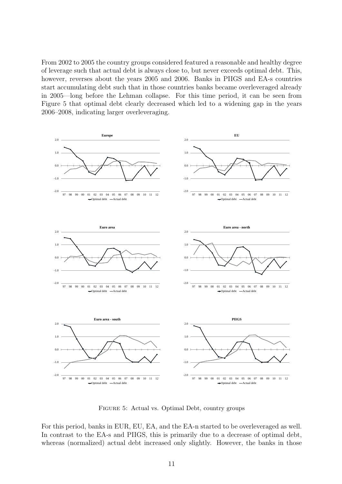From 2002 to 2005 the country groups considered featured a reasonable and healthy degree of leverage such that actual debt is always close to, but never exceeds optimal debt. This, however, reverses about the years 2005 and 2006. Banks in PIIGS and EA-s countries start accumulating debt such that in those countries banks became overleveraged already in 2005—long before the Lehman collapse. For this time period, it can be seen from Figure 5 that optimal debt clearly decreased which led to a widening gap in the years 2006–2008, indicating larger overleveraging.



Figure 5: Actual vs. Optimal Debt, country groups

For this period, banks in EUR, EU, EA, and the EA-n started to be overleveraged as well. In contrast to the EA-s and PIIGS, this is primarily due to a decrease of optimal debt, whereas (normalized) actual debt increased only slightly. However, the banks in those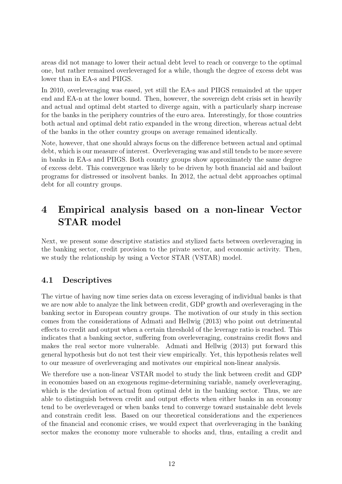areas did not manage to lower their actual debt level to reach or converge to the optimal one, but rather remained overleveraged for a while, though the degree of excess debt was lower than in EA-s and PIIGS.

In 2010, overleveraging was eased, yet still the EA-s and PIIGS remainded at the upper end and EA-n at the lower bound. Then, however, the sovereign debt crisis set in heavily and actual and optimal debt started to diverge again, with a particularly sharp increase for the banks in the periphery countries of the euro area. Interestingly, for those countries both actual and optimal debt ratio expanded in the wrong direction, whereas actual debt of the banks in the other country groups on average remained identically.

Note, however, that one should always focus on the difference between actual and optimal debt, which is our measure of interest. Overleveraging was and still tends to be more severe in banks in EA-s and PIIGS. Both country groups show approximately the same degree of excess debt. This convergence was likely to be driven by both financial aid and bailout programs for distressed or insolvent banks. In 2012, the actual debt approaches optimal debt for all country groups.

## 4 Empirical analysis based on a non-linear Vector STAR model

Next, we present some descriptive statistics and stylized facts between overleveraging in the banking sector, credit provision to the private sector, and economic activity. Then, we study the relationship by using a Vector STAR (VSTAR) model.

### 4.1 Descriptives

The virtue of having now time series data on excess leveraging of individual banks is that we are now able to analyze the link between credit, GDP growth and overleveraging in the banking sector in European country groups. The motivation of our study in this section comes from the considerations of Admati and Hellwig (2013) who point out detrimental effects to credit and output when a certain threshold of the leverage ratio is reached. This indicates that a banking sector, suffering from overleveraging, constrains credit flows and makes the real sector more vulnerable. Admati and Hellwig (2013) put forward this general hypothesis but do not test their view empirically. Yet, this hypothesis relates well to our measure of overleveraging and motivates our empirical non-linear analysis.

We therefore use a non-linear VSTAR model to study the link between credit and GDP in economies based on an exogenous regime-determining variable, namely overleveraging, which is the deviation of actual from optimal debt in the banking sector. Thus, we are able to distinguish between credit and output effects when either banks in an economy tend to be overleveraged or when banks tend to converge toward sustainable debt levels and constrain credit less. Based on our theoretical considerations and the experiences of the financial and economic crises, we would expect that overleveraging in the banking sector makes the economy more vulnerable to shocks and, thus, entailing a credit and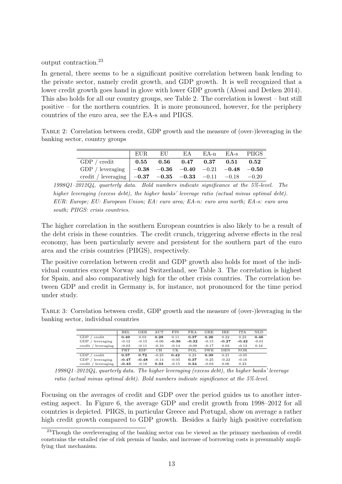output contraction.<sup>23</sup>

In general, there seems to be a significant positive correlation between bank lending to the private sector, namely credit growth, and GDP growth. It is well recognized that a lower credit growth goes hand in glove with lower GDP growth (Alessi and Detken 2014). This also holds for all our country groups, see Table 2. The correlation is lowest – but still positive – for the northern countries. It is more pronounced, however, for the periphery countries of the euro area, see the EA-s and PIIGS.

Table 2: Correlation between credit, GDP growth and the measure of (over-)leveraging in the banking sector, country groups

|                                                                                               | EUR EU EA EA-n EA-s PIIGS |  |  |
|-----------------------------------------------------------------------------------------------|---------------------------|--|--|
|                                                                                               |                           |  |  |
| GDP / leveraging $\vert -0.38 \quad -0.36 \quad -0.40 \quad -0.21 \quad -0.48 \quad -0.50$    |                           |  |  |
| credit / leveraging $\vert -0.37 \quad -0.35 \quad -0.33 \quad -0.11 \quad -0.18 \quad -0.20$ |                           |  |  |

1998Q1–2012Q4, quarterly data. Bold numbers indicate significance at the 5%-level. The higher leveraging (excess debt), the higher banks' leverage ratio (actual minus optimal debt). EUR: Europe; EU: European Union; EA: euro area; EA-n: euro area north; EA-s: euro area south: PIIGS: crisis countries.

The higher correlation in the southern European countries is also likely to be a result of the debt crisis in these countries. The credit crunch, triggering adverse effects in the real economy, has been particularly severe and persistent for the southern part of the euro area and the crisis countries (PIIGS), respectively.

The positive correlation between credit and GDP growth also holds for most of the individual countries except Norway and Switzerland, see Table 3. The correlation is highest for Spain, and also comparatively high for the other crisis countries. The correlation between GDP and credit in Germany is, for instance, not pronounced for the time period under study.

Table 3: Correlation between credit, GDP growth and the measure of (over-)leveraging in the banking sector, individual countries

|                            | BEL                       | GER     | $_{\rm AUT}$ | <b>FIN</b> | <b>FRA</b> | $_{\rm GRE}$ | IRE     | ITA        | NLD     |
|----------------------------|---------------------------|---------|--------------|------------|------------|--------------|---------|------------|---------|
| GDP<br>credit              | 0.49                      | 0.03    | 0.28         | 0.11       | 0.37       | 0.26         | 0.22    | 0.23       | 0.46    |
| GDP / leveraging           | $-0.12$                   | $-0.15$ | $-0.06$      | $-0.36$    | $-0.32$    | $-0.15$      | $-0.27$ | $-0.42$    | $-0.01$ |
| $\cend{math}$ / leveraging | $-0.03$                   | $-0.11$ | $-0.10$      | $-0.14$    | $-0.09$    | $-0.17$      | 0.03    | $-0.13$    | 0.16    |
|                            | $\overline{\mathrm{PRT}}$ | ESP     | CH           | UK         | POL        | <b>SWE</b>   | DEN     | <b>NOR</b> |         |
| GDP<br>credit              | 0.37                      | 0.72    | $-0.25$      | 0.42       | 0.23       | 0.39         | 0.21    | $-0.05$    |         |
| GDP / leveraging           | $-0.47$                   | $-0.48$ | $-0.14$      | $-0.05$    | 0.37       | $-0.25$      | $-0.22$ | $-0.16$    |         |
| $\cend{math}$ / leveraging | $-0.43$                   | $-0.18$ | 0.33         | $-0.15$    | 0.34       | $-0.03$      | 0.06    | 0.23       |         |

1998Q1–2012Q4, quarterly data. The higher leveraging (excess debt), the higher banks' leverage ratio (actual minus optimal debt). Bold numbers indicate significance at the 5%-level.

Focusing on the averages of credit and GDP over the period guides us to another interesting aspect. In Figure 6, the average GDP and credit growth from 1998–2012 for all countries is depicted. PIIGS, in particular Greece and Portugal, show on average a rather high credit growth compared to GDP growth. Besides a fairly high positive correlation

<sup>&</sup>lt;sup>23</sup>Though the overleveraging of the banking sector can be viewed as the primary mechanism of credit constrains the entailed rise of risk premia of banks, and increase of borrowing costs is presumably amplifying that mechanism.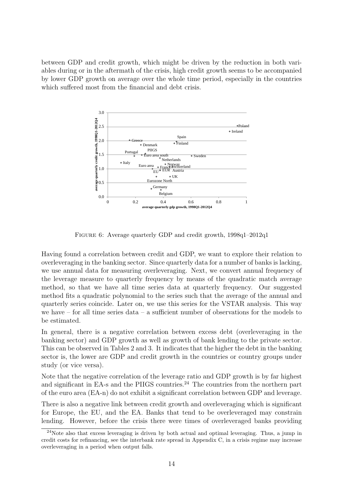between GDP and credit growth, which might be driven by the reduction in both variables during or in the aftermath of the crisis, high credit growth seems to be accompanied by lower GDP growth on average over the whole time period, especially in the countries which suffered most from the financial and debt crisis.



Figure 6: Average quarterly GDP and credit growth, 1998q1–2012q1

Having found a correlation between credit and GDP, we want to explore their relation to overleveraging in the banking sector. Since quarterly data for a number of banks is lacking, we use annual data for measuring overleveraging. Next, we convert annual frequency of the leverage measure to quarterly frequency by means of the quadratic match average method, so that we have all time series data at quarterly frequency. Our suggested method fits a quadratic polynomial to the series such that the average of the annual and quarterly series coincide. Later on, we use this series for the VSTAR analysis. This way we have – for all time series data – a sufficient number of observations for the models to be estimated.

In general, there is a negative correlation between excess debt (overleveraging in the banking sector) and GDP growth as well as growth of bank lending to the private sector. This can be observed in Tables 2 and 3. It indicates that the higher the debt in the banking sector is, the lower are GDP and credit growth in the countries or country groups under study (or vice versa).

Note that the negative correlation of the leverage ratio and GDP growth is by far highest and significant in EA-s and the PIIGS countries.<sup>24</sup> The countries from the northern part of the euro area (EA-n) do not exhibit a significant correlation between GDP and leverage.

There is also a negative link between credit growth and overleveraging which is significant for Europe, the EU, and the EA. Banks that tend to be overleveraged may constrain lending. However, before the crisis there were times of overleveraged banks providing

 $^{24}$ Note also that excess leveraging is driven by both actual and optimal leveraging. Thus, a jump in credit costs for refinancing, see the interbank rate spread in Appendix C, in a crisis regime may increase overleveraging in a period when output falls.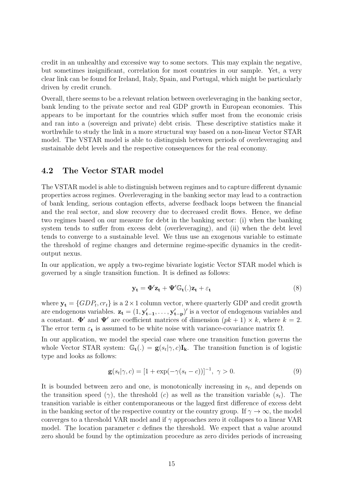credit in an unhealthy and excessive way to some sectors. This may explain the negative, but sometimes insignificant, correlation for most countries in our sample. Yet, a very clear link can be found for Ireland, Italy, Spain, and Portugal, which might be particularly driven by credit crunch.

Overall, there seems to be a relevant relation between overleveraging in the banking sector, bank lending to the private sector and real GDP growth in European economies. This appears to be important for the countries which suffer most from the economic crisis and ran into a (sovereign and private) debt crisis. These descriptive statistics make it worthwhile to study the link in a more structural way based on a non-linear Vector STAR model. The VSTAR model is able to distinguish between periods of overleveraging and sustainable debt levels and the respective consequences for the real economy.

### 4.2 The Vector STAR model

The VSTAR model is able to distinguish between regimes and to capture different dynamic properties across regimes. Overleveraging in the banking sector may lead to a contraction of bank lending, serious contagion effects, adverse feedback loops between the financial and the real sector, and slow recovery due to decreased credit flows. Hence, we define two regimes based on our measure for debt in the banking sector: (i) when the banking system tends to suffer from excess debt (overleveraging), and (ii) when the debt level tends to converge to a sustainable level. We thus use an exogenous variable to estimate the threshold of regime changes and determine regime-specific dynamics in the creditoutput nexus.

In our application, we apply a two-regime bivariate logistic Vector STAR model which is governed by a single transition function. It is defined as follows:

$$
\mathbf{y_t} = \mathbf{\Phi}' \mathbf{z_t} + \mathbf{\Psi}' \mathbb{G_t} (.) \mathbf{z_t} + \varepsilon_t
$$
 (8)

where  $y_t = \{GDP_t, cr_t\}$  is a  $2 \times 1$  column vector, where quarterly GDP and credit growth are endogenous variables.  $\mathbf{z_t} = (1, \mathbf{y'_{t-1}}, \dots, \mathbf{y'_{t-p}})'$  is a vector of endogenous variables and a constant.  $\Phi'$  and  $\Psi'$  are coefficient matrices of dimension  $(pk + 1) \times k$ , where  $k = 2$ . The error term  $\varepsilon_t$  is assumed to be white noise with variance-covariance matrix  $\Omega$ .

In our application, we model the special case where one transition function governs the whole Vector STAR system:  $\mathbb{G}_{t}(.) = g(s_t | \gamma, c) I_k$ . The transition function is of logistic type and looks as follows:

$$
\mathbf{g}(s_t|\gamma, c) = [1 + \exp(-\gamma(s_t - c))]^{-1}, \ \gamma > 0.
$$
 (9)

It is bounded between zero and one, is monotonically increasing in  $s_t$ , and depends on the transition speed ( $\gamma$ ), the threshold (c) as well as the transition variable ( $s_t$ ). The transition variable is either contemporaneous or the lagged first difference of excess debt in the banking sector of the respective country or the country group. If  $\gamma \to \infty$ , the model converges to a threshold VAR model and if  $\gamma$  approaches zero it collapses to a linear VAR model. The location parameter  $c$  defines the threshold. We expect that a value around zero should be found by the optimization procedure as zero divides periods of increasing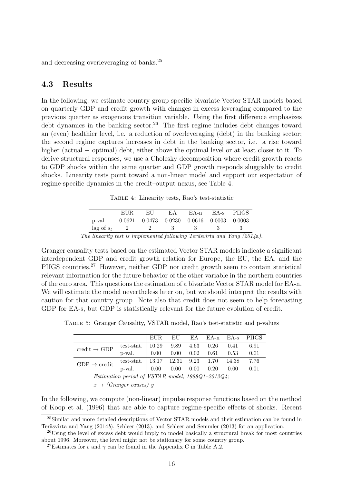and decreasing overleveraging of banks.<sup>25</sup>

#### 4.3 Results

In the following, we estimate country-group-specific bivariate Vector STAR models based on quarterly GDP and credit growth with changes in excess leveraging compared to the previous quarter as exogenous transition variable. Using the first difference emphasizes debt dynamics in the banking sector.<sup>26</sup> The first regime includes debt changes toward an (even) healthier level, i.e. a reduction of overleveraging (debt) in the banking sector; the second regime captures increases in debt in the banking sector, i.e. a rise toward higher (actual − optimal) debt, either above the optimal level or at least closer to it. To derive structural responses, we use a Cholesky decomposition where credit growth reacts to GDP shocks within the same quarter and GDP growth responds sluggishly to credit shocks. Linearity tests point toward a non-linear model and support our expectation of regime-specific dynamics in the credit–output nexus, see Table 4.

Table 4: Linearity tests, Rao's test-statistic

|              | EUR. | EU | EA. | EA-n                                         | EA-s | <b>PHGS</b> |
|--------------|------|----|-----|----------------------------------------------|------|-------------|
| p-val.       |      |    |     | $0.0621$ $0.0473$ $0.0230$ $0.0616$ $0.0003$ |      | 0.0003      |
| lag of $s_t$ |      |    |     |                                              |      |             |

The linearity test is implemented following Teräsvirta and Yang (2014a).

Granger causality tests based on the estimated Vector STAR models indicate a significant interdependent GDP and credit growth relation for Europe, the EU, the EA, and the PIIGS countries.<sup>27</sup> However, neither GDP nor credit growth seem to contain statistical relevant information for the future behavior of the other variable in the northern countries of the euro area. This questions the estimation of a bivariate Vector STAR model for EA-n. We will estimate the model nevertheless later on, but we should interpret the results with caution for that country group. Note also that credit does not seem to help forecasting GDP for EA-s, but GDP is statistically relevant for the future evolution of credit.

Table 5: Granger Causality, VSTAR model, Rao's test-statistic and p-values

|                                                                                                                                                                                                             |  |  |  | EUR EU EA EA-n EA-s PIIGS |
|-------------------------------------------------------------------------------------------------------------------------------------------------------------------------------------------------------------|--|--|--|---------------------------|
|                                                                                                                                                                                                             |  |  |  |                           |
| credit $\rightarrow$ GDP $\begin{array}{ l l }$ test-stat. $\end{array}$ 10.29 9.89 4.63 0.26 0.41 6.91<br>p-val. $\begin{array}{ l }$ 0.00 0.00 0.02 0.61 0.53 0.01                                        |  |  |  |                           |
| $\boxed{\text{GDP} \rightarrow \text{credit}} \begin{array}{c ccccc} \text{test-stat.} & 13.17 & 12.31 & 9.23 & 1.70 & 14.38 & 7.76 \\ \text{p-val.} & 0.00 & 0.00 & 0.00 & 0.20 & 0.00 & 0.01 \end{array}$ |  |  |  |                           |
|                                                                                                                                                                                                             |  |  |  |                           |

Estimation period of VSTAR model, 1998Q1–2012Q4;  $x \rightarrow$  (Granger causes) y

In the following, we compute (non-linear) impulse response functions based on the method of Koop et al. (1996) that are able to capture regime-specific effects of shocks. Recent

<sup>25</sup>Similar and more detailed descriptions of Vector STAR models and their estimation can be found in Teräsvirta and Yang  $(2014b)$ , Schleer  $(2013)$ , and Schleer and Semmler  $(2013)$  for an application.

<sup>&</sup>lt;sup>26</sup>Using the level of excess debt would imply to model basically a structural break for most countries about 1996. Moreover, the level might not be stationary for some country group.

<sup>&</sup>lt;sup>27</sup>Estimates for c and  $\gamma$  can be found in the Appendix C in Table A.2.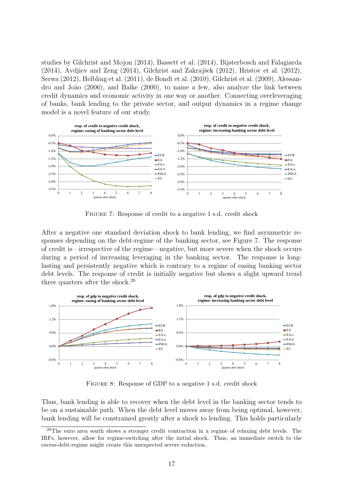studies by Gilchrist and Mojon (2014), Bassett et al. (2014), Bijsterbosch and Falagiarda  $(2014)$ , Avdjiev and Zeng  $(2014)$ , Gilchrist and Zakrajšek  $(2012)$ , Hristov et al.  $(2012)$ , Serwa (2012), Helbling et al. (2011), de Bondt et al. (2010), Gilchrist et al. (2009), Alessandro and Jo˜ao (2006), and Balke (2000), to name a few, also analyze the link between credit dynamics and economic activity in one way or another. Connecting overleveraging of banks, bank lending to the private sector, and output dynamics in a regime change model is a novel feature of our study.



FIGURE 7: Response of credit to a negative 1 s.d. credit shock

After a negative one standard deviation shock to bank lending, we find asymmetric responses depending on the debt-regime of the banking sector, see Figure 7. The response of credit is—irrespective of the regime—negative, but more severe when the shock occurs during a period of increasing leveraging in the banking sector. The response is longlasting and persistently negative which is contrary to a regime of easing banking sector debt levels. The response of credit is initially negative but shows a slight upward trend three quarters after the shock.<sup>28</sup>



FIGURE 8: Response of GDP to a negative 1 s.d. credit shock

Thus, bank lending is able to recover when the debt level in the banking sector tends to be on a sustainable path. When the debt level moves away from being optimal, however, bank lending will be constrained greatly after a shock to lending. This holds particularly

<sup>28</sup>The euro area south shows a stronger credit contraction in a regime of relaxing debt levels. The IRFs, however, allow for regime-switching after the initial shock. Thus, an immediate switch to the excess-debt-regime might create this unexpected severe reduction.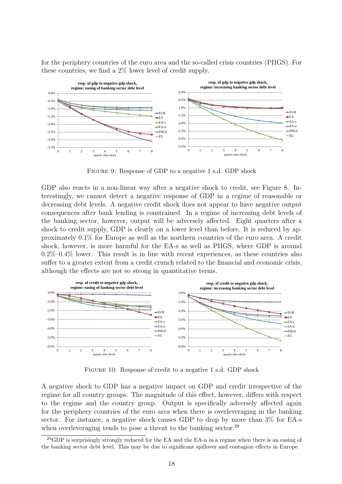for the periphery countries of the euro area and the so-called crisis countries (PIIGS). For these countries, we find a 2% lower level of credit supply.



FIGURE 9: Response of GDP to a negative 1 s.d. GDP shock

GDP also reacts in a non-linear way after a negative shock to credit, see Figure 8. Interestingly, we cannot detect a negative response of GDP in a regime of reasonable or decreasing debt levels. A negative credit shock does not appear to have negative output consequences after bank lending is constrained. In a regime of increasing debt levels of the banking sector, however, output will be adversely affected. Eight quarters after a shock to credit supply, GDP is clearly on a lower level than before. It is reduced by approximately 0.1% for Europe as well as the northern countries of the euro area. A credit shock, however, is more harmful for the EA-s as well as PIIGS, where GDP is around  $0.2\%$ – $0.4\%$  lower. This result is in line with recent experiences, as these countries also suffer to a greater extent from a credit crunch related to the financial and economic crisis, although the effects are not so strong in quantitative terms.



Figure 10: Response of credit to a negative 1 s.d. GDP shock

A negative shock to GDP has a negative impact on GDP and credit irrespective of the regime for all country groups. The magnitude of this effect, however, differs with respect to the regime and the country group. Output is specifically adversely affected again for the periphery countries of the euro area when there is overleveraging in the banking sector. For instance, a negative shock causes GDP to drop by more than 3% for EA-s when overleveraging tends to pose a threat to the banking sector.<sup>29</sup>

 $^{29}$ GDP is surprisingly strongly reduced for the EA and the EA-n in a regime when there is an easing of the banking sector debt level. This may be due to significant spillover and contagion effects in Europe.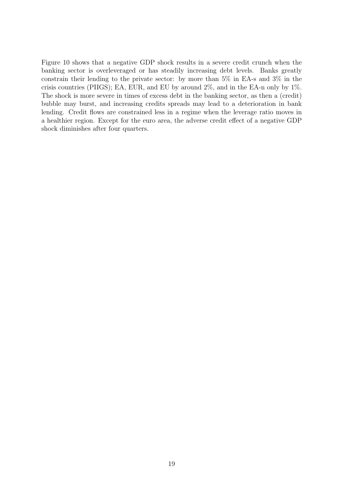Figure 10 shows that a negative GDP shock results in a severe credit crunch when the banking sector is overleveraged or has steadily increasing debt levels. Banks greatly constrain their lending to the private sector: by more than 5% in EA-s and 3% in the crisis countries (PIIGS); EA, EUR, and EU by around 2%, and in the EA-n only by 1%. The shock is more severe in times of excess debt in the banking sector, as then a (credit) bubble may burst, and increasing credits spreads may lead to a deterioration in bank lending. Credit flows are constrained less in a regime when the leverage ratio moves in a healthier region. Except for the euro area, the adverse credit effect of a negative GDP shock diminishes after four quarters.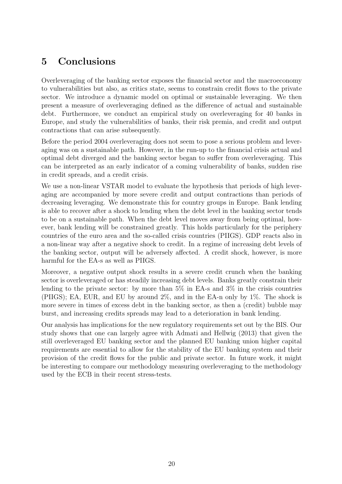## 5 Conclusions

Overleveraging of the banking sector exposes the financial sector and the macroeconomy to vulnerabilities but also, as critics state, seems to constrain credit flows to the private sector. We introduce a dynamic model on optimal or sustainable leveraging. We then present a measure of overleveraging defined as the difference of actual and sustainable debt. Furthermore, we conduct an empirical study on overleveraging for 40 banks in Europe, and study the vulnerabilities of banks, their risk premia, and credit and output contractions that can arise subsequently.

Before the period 2004 overleveraging does not seem to pose a serious problem and leveraging was on a sustainable path. However, in the run-up to the financial crisis actual and optimal debt diverged and the banking sector began to suffer from overleveraging. This can be interpreted as an early indicator of a coming vulnerability of banks, sudden rise in credit spreads, and a credit crisis.

We use a non-linear VSTAR model to evaluate the hypothesis that periods of high leveraging are accompanied by more severe credit and output contractions than periods of decreasing leveraging. We demonstrate this for country groups in Europe. Bank lending is able to recover after a shock to lending when the debt level in the banking sector tends to be on a sustainable path. When the debt level moves away from being optimal, however, bank lending will be constrained greatly. This holds particularly for the periphery countries of the euro area and the so-called crisis countries (PIIGS). GDP reacts also in a non-linear way after a negative shock to credit. In a regime of increasing debt levels of the banking sector, output will be adversely affected. A credit shock, however, is more harmful for the EA-s as well as PIIGS.

Moreover, a negative output shock results in a severe credit crunch when the banking sector is overleveraged or has steadily increasing debt levels. Banks greatly constrain their lending to the private sector: by more than  $5\%$  in EA-s and  $3\%$  in the crisis countries (PIIGS); EA, EUR, and EU by around 2%, and in the EA-n only by 1%. The shock is more severe in times of excess debt in the banking sector, as then a (credit) bubble may burst, and increasing credits spreads may lead to a deterioration in bank lending.

Our analysis has implications for the new regulatory requirements set out by the BIS. Our study shows that one can largely agree with Admati and Hellwig (2013) that given the still overleveraged EU banking sector and the planned EU banking union higher capital requirements are essential to allow for the stability of the EU banking system and their provision of the credit flows for the public and private sector. In future work, it might be interesting to compare our methodology measuring overleveraging to the methodology used by the ECB in their recent stress-tests.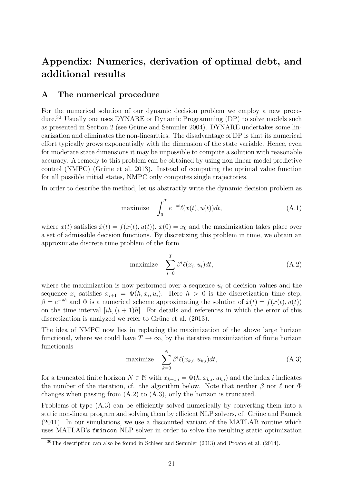## Appendix: Numerics, derivation of optimal debt, and additional results

### A The numerical procedure

For the numerical solution of our dynamic decision problem we employ a new procedure.<sup>30</sup> Usually one uses DYNARE or Dynamic Programming (DP) to solve models such as presented in Section 2 (see Grüne and Semmler 2004). DYNARE undertakes some linearization and eliminates the non-linearities. The disadvantage of DP is that its numerical effort typically grows exponentially with the dimension of the state variable. Hence, even for moderate state dimensions it may be impossible to compute a solution with reasonable accuracy. A remedy to this problem can be obtained by using non-linear model predictive control (NMPC) (Grüne et al. 2013). Instead of computing the optimal value function for all possible initial states, NMPC only computes single trajectories.

In order to describe the method, let us abstractly write the dynamic decision problem as

maximize 
$$
\int_0^T e^{-\rho t} \ell(x(t), u(t)) dt,
$$
 (A.1)

where  $x(t)$  satisfies  $\dot{x}(t) = f(x(t), u(t))$ ,  $x(0) = x_0$  and the maximization takes place over a set of admissible decision functions. By discretizing this problem in time, we obtain an approximate discrete time problem of the form

maximize 
$$
\sum_{i=0}^{T} \beta^{i} \ell(x_i, u_i) dt,
$$
 (A.2)

where the maximization is now performed over a sequence  $u_i$  of decision values and the sequence  $x_i$  satisfies  $x_{i+1} = \Phi(h, x_i, u_i)$ . Here  $h > 0$  is the discretization time step,  $\beta = e^{-\rho h}$  and  $\Phi$  is a numerical scheme approximating the solution of  $\dot{x}(t) = f(x(t), u(t))$ on the time interval  $[ih,(i+1)h]$ . For details and references in which the error of this discretization is analyzed we refer to Grüne et al.  $(2013)$ .

The idea of NMPC now lies in replacing the maximization of the above large horizon functional, where we could have  $T \to \infty$ , by the iterative maximization of finite horizon functionals

maximize 
$$
\sum_{k=0}^{N} \beta^{i} \ell(x_{k,i}, u_{k,i}) dt,
$$
 (A.3)

for a truncated finite horizon  $N \in \mathbb{N}$  with  $x_{k+1,i} = \Phi(h, x_{k,i}, u_{k,i})$  and the index i indicates the number of the iteration, cf. the algorithm below. Note that neither  $\beta$  nor  $\ell$  nor  $\Phi$ changes when passing from (A.2) to (A.3), only the horizon is truncated.

Problems of type (A.3) can be efficiently solved numerically by converting them into a static non-linear program and solving them by efficient NLP solvers, cf. Grüne and Pannek (2011). In our simulations, we use a discounted variant of the MATLAB routine which uses MATLAB's fmincon NLP solver in order to solve the resulting static optimization

<sup>30</sup>The description can also be found in Schleer and Semmler (2013) and Proano et al. (2014).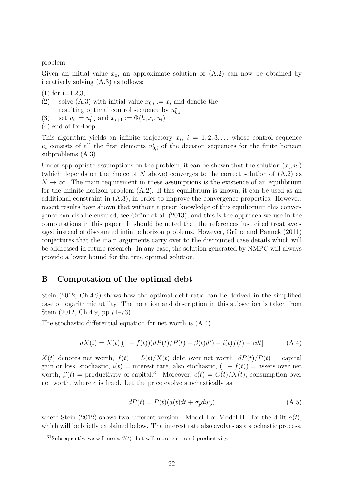problem.

Given an initial value  $x_0$ , an approximate solution of  $(A.2)$  can now be obtained by iteratively solving (A.3) as follows:

- $(1)$  for  $i=1,2,3,...$
- (2) solve (A.3) with initial value  $x_{0,i} := x_i$  and denote the resulting optimal control sequence by  $u_{k,i}^*$
- (3) set  $u_i := u_{0,i}^*$  and  $x_{i+1} := \Phi(h, x_i, u_i)$
- (4) end of for-loop

This algorithm yields an infinite trajectory  $x_i$ ,  $i = 1, 2, 3, \ldots$  whose control sequence  $u_i$  consists of all the first elements  $u_{0,i}^*$  of the decision sequences for the finite horizon subproblems (A.3).

Under appropriate assumptions on the problem, it can be shown that the solution  $(x_i, u_i)$ (which depends on the choice of N above) converges to the correct solution of  $(A.2)$  as  $N \to \infty$ . The main requirement in these assumptions is the existence of an equilibrium for the infinite horizon problem (A.2). If this equilibrium is known, it can be used as an additional constraint in (A.3), in order to improve the convergence properties. However, recent results have shown that without a priori knowledge of this equilibrium this convergence can also be ensured, see Grüne et al.  $(2013)$ , and this is the approach we use in the computations in this paper. It should be noted that the references just cited treat averaged instead of discounted infinite horizon problems. However, Grüne and Pannek (2011) conjectures that the main arguments carry over to the discounted case details which will be addressed in future research. In any case, the solution generated by NMPC will always provide a lower bound for the true optimal solution.

### B Computation of the optimal debt

Stein (2012, Ch.4.9) shows how the optimal debt ratio can be derived in the simplified case of logarithmic utility. The notation and description in this subsection is taken from Stein (2012, Ch.4.9, pp.71–73).

The stochastic differential equation for net worth is (A.4)

$$
dX(t) = X(t)[(1 + f(t))(dP(t)/P(t) + \beta(t)dt) - i(t)f(t) - cdt]
$$
\n(A.4)

 $X(t)$  denotes net worth,  $f(t) = L(t)/X(t)$  debt over net worth,  $dP(t)/P(t) =$  capital gain or loss, stochastic,  $i(t)$  = interest rate, also stochastic,  $(1 + f(t))$  = assets over net worth,  $\beta(t)$  = productivity of capital.<sup>31</sup> Moreover,  $c(t) = C(t)/X(t)$ , consumption over net worth, where  $c$  is fixed. Let the price evolve stochastically as

$$
dP(t) = P(t)(a(t)dt + \sigma_p dw_p)
$$
\n(A.5)

where Stein (2012) shows two different version—Model I or Model II—for the drift  $a(t)$ , which will be briefly explained below. The interest rate also evolves as a stochastic process.

<sup>&</sup>lt;sup>31</sup>Subsequently, we will use a  $\beta(t)$  that will represent trend productivity.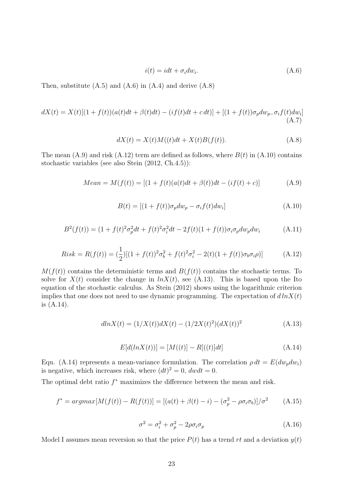$$
i(t) = idt + \sigma_i dw_i.
$$
 (A.6)

Then, substitute  $(A.5)$  and  $(A.6)$  in  $(A.4)$  and derive  $(A.8)$ 

$$
dX(t) = X(t)[(1 + f(t))(a(t)dt + \beta(t)dt) - (if(t)dt + c dt)] + [(1 + f(t))\sigma_p dw_{p} - \sigma_i f(t)dw_i]
$$
\n(A.7)

$$
dX(t) = X(t)M((t)dt + X(t)B(f(t)).
$$
\n(A.8)

The mean  $(A.9)$  and risk  $(A.12)$  term are defined as follows, where  $B(t)$  in  $(A.10)$  contains stochastic variables (see also Stein (2012, Ch.4.5)):

$$
Mean = M(f(t)) = [(1 + f(t)(a(t)dt + \beta(t))dt - (if(t) + c)]
$$
\n(A.9)

$$
B(t) = [(1 + f(t))\sigma_p dw_p - \sigma_i f(t) dw_i]
$$
\n(A.10)

$$
B^{2}(f(t)) = (1 + f(t)^{2} \sigma_{p}^{2} dt + f(t)^{2} \sigma_{i}^{2} dt - 2f(t)(1 + f(t)) \sigma_{i} \sigma_{p} dw_{p} dw_{i}
$$
 (A.11)

$$
Risk = R(f(t)) = \left(\frac{1}{2}\right)[(1+f(t))^2\sigma_b^2 + f(t)^2\sigma_i^2 - 2(t)(1+f(t))\sigma_b\sigma_i\rho)] \tag{A.12}
$$

 $M(f(t))$  contains the deterministic terms and  $B(f(t))$  contains the stochastic terms. To solve for  $X(t)$  consider the change in  $ln X(t)$ , see (A.13). This is based upon the Ito equation of the stochastic calculus. As Stein (2012) shows using the logarithmic criterion implies that one does not need to use dynamic programming. The expectation of  $d \ln X(t)$ is (A.14).

$$
dln X(t) = (1/X(t))dX(t) - (1/2X(t)^{2})(dX(t))^{2}
$$
\n(A.13)

$$
E[d(lnX(t))] = [M((t)] - R[((t)]dt]
$$
\n(A.14)

Equ. (A.14) represents a mean-variance formulation. The correlation  $\rho dt = E(dw_n dw_i)$ is negative, which increases risk, where  $(dt)^2 = 0$ ,  $dwdt = 0$ .

The optimal debt ratio  $f^*$  maximizes the difference between the mean and risk.

$$
f^* = argmax[M(f(t)) - R(f(t))] = [(a(t) + \beta(t) - i) - (\sigma_p^2 - \rho \sigma_i \sigma_b)]/\sigma^2
$$
 (A.15)

$$
\sigma^2 = \sigma_i^2 + \sigma_p^2 - 2\rho\sigma_i\sigma_p \tag{A.16}
$$

Model I assumes mean reversion so that the price  $P(t)$  has a trend rt and a deviation  $y(t)$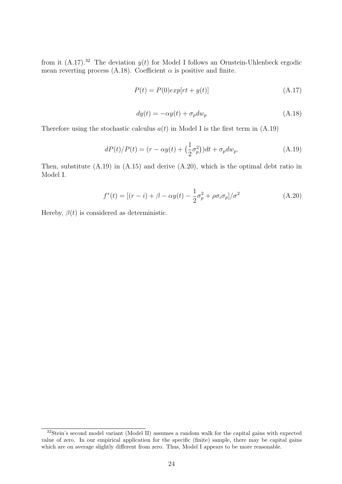from it  $(A.17).^{32}$  The deviation  $y(t)$  for Model I follows an Ornstein-Uhlenbeck ergodic mean reverting process (A.18). Coefficient  $\alpha$  is positive and finite.

$$
P(t) = P(0)exp[rt + y(t)]
$$
\n(A.17)

$$
dy(t) = -\alpha y(t) + \sigma_p dw_p \tag{A.18}
$$

Therefore using the stochastic calculus  $a(t)$  in Model I is the first term in (A.19)

$$
dP(t)/P(t) = (r - \alpha y(t) + \left(\frac{1}{2}\sigma_p^2\right))dt + \sigma_p dw_p.
$$
\n(A.19)

Then, substitute (A.19) in (A.15) and derive (A.20), which is the optimal debt ratio in Model I.

$$
f^*(t) = [(r - i) + \beta - \alpha y(t) - \frac{1}{2}\sigma_p^2 + \rho \sigma_i \sigma_p]/\sigma^2
$$
 (A.20)

Hereby,  $\beta(t)$  is considered as deterministic.

<sup>&</sup>lt;sup>32</sup>Stein's second model variant (Model II) assumes a random walk for the capital gains with expected value of zero. In our empirical application for the specific (finite) sample, there may be capital gains which are on average slightly different from zero. Thus, Model I appears to be more reasonable.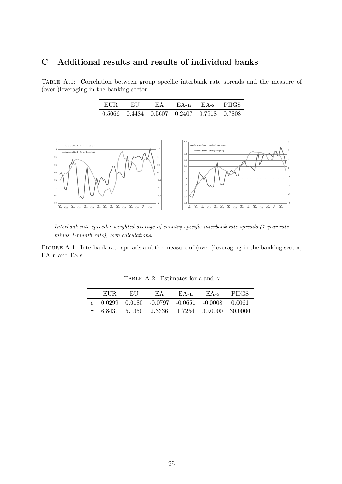### C Additional results and results of individual banks

Table A.1: Correlation between group specific interbank rate spreads and the measure of (over-)leveraging in the banking sector

| EUR | EU -                                      | FA | EA-n EA-s PHGS |  |
|-----|-------------------------------------------|----|----------------|--|
|     | 0.5066 0.4484 0.5607 0.2407 0.7918 0.7808 |    |                |  |



Interbank rate spreads: weighted average of country-specific interbank rate spreads (1-year rate minus 1-month rate), own calculations.

FIGURE A.1: Interbank rate spreads and the measure of (over-)leveraging in the banking sector, EA-n and ES-s

| EUR. | EH | EA | EA-n | $E\rm{A-s}$                                            | – PHGS |
|------|----|----|------|--------------------------------------------------------|--------|
|      |    |    |      | $c   0.0299 0.0180 -0.0797 -0.0651 -0.0008 0.0061$     |        |
|      |    |    |      | $\gamma$   6.8431 5.1350 2.3336 1.7254 30.0000 30.0000 |        |

TABLE A.2: Estimates for c and  $\gamma$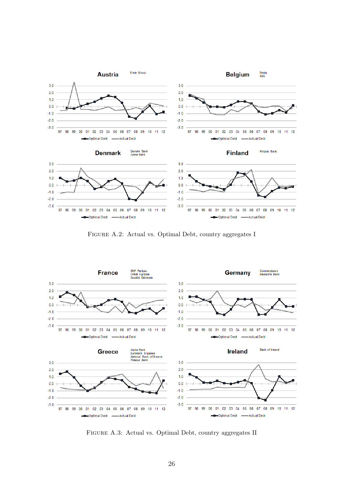

Figure A.2: Actual vs. Optimal Debt, country aggregates I



Figure A.3: Actual vs. Optimal Debt, country aggregates II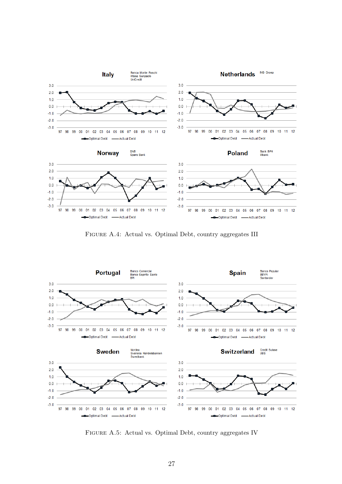

Figure A.4: Actual vs. Optimal Debt, country aggregates III



Figure A.5: Actual vs. Optimal Debt, country aggregates IV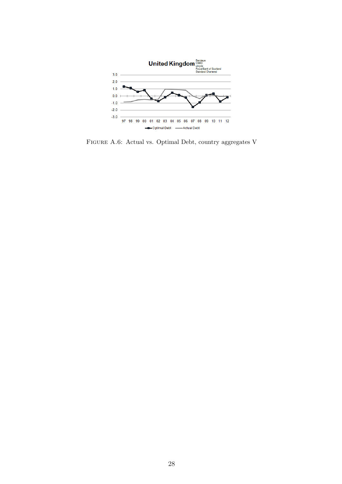

Figure A.6: Actual vs. Optimal Debt, country aggregates V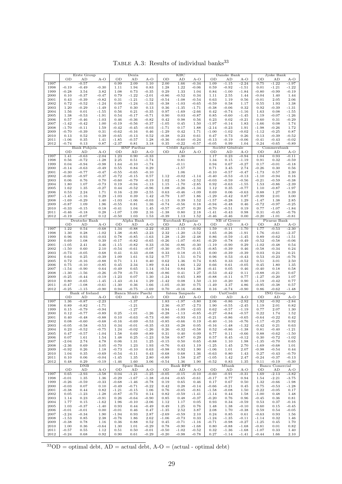Erste Group | Dexia | KBC | Danske Bank | Jyske Bank OD AD A-O OD AD A-O OD AD A-O OD AD A-O OD AD A-O  $-0.57$   $\phantom{0}0.99$   $2.09$   $1.10$   $2.00$   $1.66$   $-0.34$   $\phantom{0}1.09$   $-1.15$   $-2.24$   $\phantom{0}0.75$   $-1.22$   $-1.97$  -0.19 -0.49 -0.30 1.11 1.94 0.83 1.28 1.22 -0.06 0.59 -0.92 -1.51 0.01 -1.21 -1.22 -0.28 3.54 3.82 1.08 0.73 -0.35 0.29 1.33 1.04 0.84 -1.00 -1.84 -0.80 -0.99 -0.19 0.10 -0.37 -0.47 0.79 -1.22 -2.01 -0.86 -0.52 0.34 1.11 2.55 1.44 -0.04 1.40 1.44 0.43 -0.39 -0.82 0.31 -1.21 -1.52 -0.54 -1.08 -0.54 0.63 1.19 0.56 -0.01 2.05 2.06 |  $0.72$   $-0.52$   $-1.24$  |  $0.09$   $-1.24$   $-1.33$  |  $-0.38$   $-1.03$   $-0.65$   $-0.59$   $0.58$   $1.17$  |  $0.55$   $1.93$   $1.38$  1.20 -0.29 -1.49 0.17 0.30 0.13 0.36 -1.35 -1.71 -0.38 -0.06 0.32 0.92 -0.39 -1.31 1.56 0.01 -1.55 0.56 0.21 -0.35 0.97 -1.69 -2.66 0.42 -0.74 -1.16 1.63 0.08 -1.55 1.38 -0.53 -1.91 0.54 -0.17 -0.71 0.90 0.03 -0.87 0.85 -0.60 -1.45 1.19 -0.07 -1.26 |  $0.57$   $-0.46$   $-1.03$  |  $0.46$   $-0.36$   $-0.82$  |  $0.42$   $0.98$   $0.56$  |  $0.23$   $0.02$   $-0.21$  |  $0.60$   $0.31$   $-0.29$   $-1.42$   $-0.42$   $1.00$   $-0.19$   $-0.56$   $-0.37$   $-1.05$   $0.45$   $1.50$   $-1.97$   $-0.14$   $1.83$   $-1.66$   $0.08$   $1.74$  -1.70 -0.11 1.59 -0.42 -0.45 -0.03 -1.71 0.17 1.88 -2.14 -0.23 1.91 -1.98 -0.26 1.72 -0.70 -0.39 0.31 -0.62 -0.16 0.46 -1.29 0.42 1.71 -1.00 -1.02 -0.02 -1.12 -0.25 0.87 |  $0.13$   $0.52$   $0.39$  |  $-0.65$   $-0.13$   $0.52$  |  $-0.38$   $0.23$   $0.61$  |  $0.47$   $0.73$   $0.26$  |  $0.13$   $-0.39$   $-0.52$  -1.06 0.35 1.41 -1.85 -0.57 1.28 -0.36 -0.60 -0.24 -0.13 -0.19 -0.06 -0.41 -0.43 -0.02  $\parallel$  -0.74  $\parallel$  0.13  $\parallel$  0.87  $\parallel$  -2.37  $\parallel$  0.81  $\parallel$  3.18  $\parallel$  0.35  $\parallel$  -0.22  $\parallel$  -0.05  $\parallel$  0.09  $\parallel$  1.04  $\parallel$  0.24  $\parallel$  -0.65  $\parallel$  -0.89 Bank Pohjola | BNP Paribas | Crédit Agricole | Société Générale | Commerzbank OD AD A-O OD AD A-O OD AD A-O OD AD A-O OD AD A-O 1.41 -0.63 -2.04 1.23 0.90 -0.33 1.30 1.17 0.23 -0.94 1.04 0.93 -0.11 0.56 -0.72 -1.28 2.25 0.51 -1.74 0.81 1.34 0.15 -1.19 0.91 0.32 -0.59  $1999 \mid 0.04$   $-0.94$   $-0.98 \mid 1.64$   $-0.10$   $-1.74 \mid$   $-0.11$   $\mid 0.94$   $0.67$   $-0.27 \mid 0.17$   $-0.01$   $-0.18$   $-0.14$   $-0.63$   $-0.49$   $0.55$   $0.84$   $0.29$   $-1.57$   $0.71$   $3.45$   $2.74$   $-0.26$   $0.30$   $0.56$   $-0.30$   $-0.77$   $-0.47$   $-0.55$   $-0.65$   $-0.10$   $1.06$   $-0.10$   $-0.57$   $-0.47$   $-1.73$   $0.57$   $2.30$   $\vert$  -0.60  $\vert$  -0.97  $\vert$  -0.72  $\vert$  -0.15  $\vert$  0.57  $\vert$   $\vert$  1.12  $\vert$  -0.02  $\vert$  -1.14  $\vert$  -0.40  $\vert$  -0.53  $\vert$  -0.13  $\vert$  -1.10  $\vert$  -0.94  $\vert$  0.16 0.06 0.76 0.70 -0.60 -0.79 -0.19 1.02 -1.50 -2.52 -0.03 -0.59 -0.56 -0.21 -0.59 -0.38 1.80 1.07 -0.73 0.19 -0.94 -1.13 1.15 -1.70 -2.85 0.92 -0.63 -1.55 1.53 -0.86 -2.39 1.62 1.35 -0.27 0.44 -0.52 -0.96 1.08 -0.26 -1.34 1.12 0.35 -0.77 1.10 -0.87 -1.97 0.53 2.24 1.71 0.16 -2.39 -2.55 0.63 -0.46 -1.09 0.69 0.06 -0.63 0.88 1.27 0.39  $-1.45$   $-1.16$   $0.29$   $-1.03$   $0.39$   $1.42$   $-0.79$   $1.07$   $1.86$   $-1.29$   $-0.42$   $0.87$   $-0.99$   $2.01$   $3.00$  -1.69 -0.29 1.40 -1.03 -1.06 -0.03 -1.13 0.39 1.52 -1.57 -0.28 1.29 -1.47 1.38 2.85 -0.87 1.09 1.96 -0.55 0.81 1.36 -0.74 -0.56 0.18 -0.94 -0.48 0.46 -0.72 -0.97 -0.25  $-0.33$   $-0.15$   $0.18$   $-0.41$   $1.04$   $1.45$   $-0.57$   $-0.37$   $0.20$   $-0.70$   $-0.51$   $0.19$   $-0.77$   $-1.07$   $-1.84$  -0.46 -0.18 0.28 -1.07 1.09 2.16 -1.38 0.80 2.18 -1.41 -0.43 0.98 0.31 -0.45 -0.76  $\parallel$  -0.19  $\parallel$  -0.07  $\parallel$  0.12  $\parallel$  -0.50  $\parallel$  1.03  $\parallel$  1.53  $\parallel$  -0.39  $\parallel$  1.13  $\parallel$  1.52  $\parallel$  -0.46  $\parallel$  -0.46  $\parallel$  0.00  $\parallel$  -0.20  $\parallel$  -1.01  $\parallel$  -0.81 Deutsche Bank | Alpha Bank | Eurobank Ergasias | NB of Greece | Piraeus Bank OD AD A-O OD AD A-O OD AD A-O OD AD A-O OD AD A-O 1.22 0.54 -0.68 1.34 -0.88 -2.22 -0.23 -1.15 -0.92 1.59 -0.11 -1.70 1.77 -0.53 -2.30 1.30 0.28 -1.02 1.38 -0.85 -2.23 2.32 -1.20 -3.52 1.65 -0.26 -1.91 1.76 -0.61 -2.37 0.96 0.93 -0.03 0.78 -0.85 -1.63 1.28 -1.20 -2.48 0.86 -0.59 -1.45 0.89 -0.62 -1.51  $\begin{array}{|l} 0.69 \end{array}$   $1.08$   $\begin{array}{|l} 0.39$   $\begin{array}{|l}$  -0.17  $\begin{array}{|l}$  -0.65  $\end{array}$  -0.26  $\begin{array}{|l}$  -1.07  $\begin{array}{|l}$  -0.81  $\end{array}$  -0.29  $\begin{array}{|l}$  -0.78  $\begin{array}{|l}$  -0.49  $\end{array}$  -0.52  $\begin{array}{|l}$  -0.06 -1.05 2.41 3.46 -1.15 -0.82 0.33 -0.56 -0.86 -0.30 -1.19 -0.90 0.29 -1.02 -0.48 0.54  $-1.50$   $0.60$   $2.10$   $-0.54$   $-0.61$   $-0.07$   $-0.30$   $-0.75$   $-0.45$   $-0.85$   $-0.39$   $0.46$   $-0.58$   $-0.34$   $0.24$   $\mid$  -0.73  $\mid$  -0.05  $\mid$  0.68  $\mid$  0.41  $\mid$  0.33  $\mid$  -0.03  $\mid$  0.18  $\mid$  -0.15  $\mid$  0.00  $\mid$  -0.39  $\mid$  -0.03  $\mid$  0.03  $\mid$  0.24  $\mid$  0.21 0.64 0.25 -0.39 1.09 1.61 0.52 0.77 1.51 0.74 0.96 0.53 -0.43 0.53 -0.23 -0.76  $\mid$   $0.72$   $\mid$   $-0.16$   $\mid$   $-0.88$   $\mid$   $\mid$   $0.71$   $\mid$   $1.11$   $\mid$   $0.40$   $\mid$   $\mid$   $0.62$   $\mid$   $1.36$   $\mid$   $0.74$   $\mid$   $\mid$   $0.85$   $\mid$   $0.33$   $\mid$   $-0.52$   $\mid$   $\mid$   $0.51$   $\mid$   $3.01$   $\mid$   $2.50$  0.75 -0.10 -0.85 0.45 2.34 1.89 0.44 1.66 1.22 0.66 0.61 -0.05 0.45 1.80 1.35  $-1.54$   $-0.90$   $0.64$   $-0.49$   $0.65$   $1.14$   $-0.54$   $0.84$   $1.38$   $-0.41$   $0.05$   $0.46$   $-0.40$   $0.18$   $0.58$   $-1.30$   $-1.56$   $-0.26$   $-0.79$   $-0.73$   $0.06$   $-0.86$   $0.41$   $1.27$   $-0.53$   $-0.42$   $0.11$   $-0.88$   $-0.21$   $0.67$   $\vert$  -0.25 -0.44 -0.19  $\vert$  -1.23 0.07 1.30  $\vert$  -1.24 0.65 1.89  $\vert$  -0.88 -0.11 0.77  $\vert$  -1.27 -0.20 1.07  $\begin{array}{|l}$   $0.80$   $\begin{array}{|l}$   $-0.65$   $\begin{array}{|l}$   $-1.43$   $\begin{array}{|l}$   $-0.14$   $\begin{array}{|l}$   $1.29$   $\end{array}$   $\begin{array}{|l}$   $-1.42$   $\begin{array}{|l}$   $0.08$   $\begin{array}{|l}$   $1.10$   $\begin{array}{|l}$   $-0.20$   $\begin{array}{|l}$   $0.90$   $\end{array}$   $\begin{array}{|l}$   $-0.47$   $-1.08$   $-0.61$   $-1.30$   $0.36$   $1.66$   $-1.05$   $-0.30$   $0.75$   $-1.49$   $3.37$   $4.86$   $-0.95$   $-0.38$   $0.57$   $\parallel$  -0.25  $\parallel$  -1.15  $\parallel$  -0.90  $\parallel$  0.94  $\parallel$  -0.75  $\parallel$  -1.69  $\parallel$  0.70  $\parallel$  -0.16  $\parallel$  -0.86  $\parallel$  0.16  $\parallel$  -0.74  $\parallel$  -0.90  $\parallel$  0.86  $\parallel$  -0.62  $\parallel$  -1.48 Bank of Ireland | Banca Monte Paschi | Intesa Sanpaolo | UniCredit | ING Groep OD AD A-O OD AD A-O OD AD A-O OD AD A-O OD AD A-O  $1.36$   $-0.87$   $-2.23$   $-1.37$   $1.83$   $-1.97$   $-3.80$   $2.06$   $-0.86$   $-2.92$   $1.92$   $-0.92$   $-2.84$   $\begin{array}{|l} 0.89$   $\begin{array}{|l} 0.82 \end{array}$   $-1.71$   $-1.21$   $\begin{array}{|l} 2.36$   $\begin{array}{|l} 0.37 \end{array}$   $-2.73$   $\begin{array}{|l} 1.90 \end{array}$   $-0.55$   $-2.45$   $\begin{array}{|l} 1.19$   $\begin{array}{|l} 2.01 \end{array}$   $0.82$  $1999 \mid 0.15$   $-0.79$   $-0.94$   $-1.27$   $-0.94$   $-1.09$   $-2.03$   $-0.62$   $-0.57$   $-1.19$   $-0.77$   $-2.07$   $-1.30$   $\mid$   $0.12$   $\mid$   $-0.77$   $\mid$   $-0.89$   $\mid$   $\mid$   $0.25$   $\mid$   $-1.10$   $\mid$   $-1.26$   $\mid$   $-0.28$   $\mid$   $-1.13$   $\mid$   $-0.85$   $\mid$   $\mid$   $-0.27$   $\mid$   $-0.84$   $\mid$   $-0.57$   $\mid$   $\mid$   $0.22$   $\mid$   $1.74$   $\mid$   $1.52$  0.40 -0.48 -0.88 0.10 -0.63 -0.73 -0.80 -0.93 -0.13 -0.21 -0.86 -0.65 -0.64 -0.22 0.42  $\mid$   $0.08$   $\mid$   $-0.60$   $\mid$   $-0.68$   $\mid$   $-0.16$   $\mid$   $-0.53$   $\mid$   $-0.85$   $\mid$   $-0.66$   $\mid$   $0.19$   $\mid$   $-0.40$   $\mid$   $-1.16$   $\mid$   $-0.76$   $\mid$   $-1.17$   $\mid$   $-0.25$   $\mid$   $0.92$  -0.05 -0.58 -0.53 0.34 -0.01 -0.35 -0.33 -0.28 0.05 -0.16 -1.48 -1.32 -0.42 0.21 0.63 |  $0.23$   $-0.52$   $-0.75$  |  $1.24$   $-0.02$   $-1.26$  |  $0.26$   $-0.32$   $-0.58$  |  $0.52$   $-0.86$   $-1.38$  |  $0.81$   $-0.40$   $-1.21$   $\mid$   $0.47$   $\mid$   $-0.57$   $\mid$   $-1.04$   $\mid$   $\mid$   $1.58$   $\mid$   $0.69$   $\mid$   $0.31$   $\mid$   $0.40$   $\mid$   $0.09$   $\mid$   $\mid$   $0.77$   $\mid$   $\mid$   $0.11$   $\mid$   $-0.66$   $\mid$   $\mid$   $0.88$   $\mid$   $-0.62$   $\mid$   $-1.50$   $\mid$   $0.07$   $\mid$   $1.61$   $\mid$   $1.54$   $\mid$   $1.48$   $\mid$   $0.25$   $\mid$   $-1.23$   $\mid$   $\mid$   $0.58$   $\mid$   $0.87$   $\mid$   $0.29$   $\mid$   $\mid$   $0.57$   $\mid$   $0.45$   $\mid$   $-0.12$   $\mid$   $\mid$   $0.30$   $\mid$   $-0.72$   $\mid$   $-1.02$   $-2.04$   $2.74$   $4.78$   $-0.06$   $1.31$   $1.25$   $-0.15$   $0.50$   $0.65$   $-0.88$   $1.10$   $1.98$   $-1.35$   $-0.70$   $0.65$   $-2.36$   $0.69$   $3.05$   $-0.70$   $1.23$   $1.93$   $-0.76$   $0.43$   $1.19$   $-1.25$   $1.45$   $2.70$   $-1.69$   $-0.68$   $1.01$   $\vert$  -0.92  $\vert$   $0.26$   $\vert$   $1.18$   $\vert$  -0.73 -0.10  $\vert$  0.63  $\vert$  -0.98  $\vert$  0.92  $\vert$  1.90  $\vert$  -1.06  $\vert$  1.01  $\vert$  2.07  $\vert$  -0.98 -0.54  $\vert$  0.44 |  $1.04$   $0.35$   $-0.69$  |  $-0.54$   $-0.11$   $0.43$  |  $-0.68$   $0.68$   $1.36$  |  $-0.63$   $0.80$   $1.43$  |  $0.27$   $-0.43$   $-0.70$   $\begin{array}{|l}$   $0.10$   $\begin{array}{|l}$   $0.06$   $\begin{array}{|l}$   $-0.04$   $\end{array}$   $\begin{array}{|l}$   $-1.45$   $\begin{array}{|l}$   $1.35$   $\begin{array}{|l}$   $2.80$   $\end{array}$   $\begin{array}{|l}$   $-0.89$   $\begin{array}{|l}$   $1.58$   $\begin{array}{|l}$   $2.47$   $\end{array}$   $\begin{array}{|l}$   $-1.42$   $\begin{array}{$  |  $0.48$   $0.29$   $-0.19$  |  $-1.46$   $1.60$   $3.06$  |  $-0.54$   $1.36$   $1.90$  |  $-0.52$   $0.83$   $1.35$  |  $0.11$   $-0.19$   $-0.30$ DNB | Spare Bank | Bank BPH | Mbank | Banco Comercial OD AD A-O OD AD A-O OD AD A-O OD AD A-O OD AD A-O 0.65 -2.93 -3.58 0.04 -1.21 -1.25 -0.05 -0.15 -0.10 -0.60 -0.91 -0.31 1.69 -2.13 -3.82 -0.01 1.35 1.36 -0.29 -1.67 -1.38 -0.04 -0.65 -0.61 -0.17 0.77 0.94 1.54 -2.21 -3.75 -0.26 -0.59 -0.33 -0.68 -1.46 -0.78 0.19 0.65 0.46 0.17 0.67 0.50 1.32 -0.66 -1.98  $\vert$  -0.03  $\vert$   $0.07$   $\vert$   $0.10$   $\vert$  -0.49  $\vert$  -0.71  $\vert$  -0.22  $\vert$   $\vert$   $0.42$   $\vert$   $0.28$   $\vert$  -0.14  $\vert$  -0.66  $\vert$  -0.21  $\vert$   $0.45$   $\vert$   $\vert$   $0.75$   $\vert$  -0.53  $\vert$  -1.28 -0.38 0.44 0.82 -1.21 -0.15 1.06 0.76 -0.05 -0.81 -1.58 -0.08 1.50 -0.22 -0.05 0.17  $\mid$   $0.05$   $-1.23$   $-1.28$   $\mid$   $-0.87$   $-0.73$   $\mid$   $0.14$   $\mid$   $0.82$   $-0.59$   $-1.41$   $\mid$   $-1.14$   $\mid$   $0.44$   $\mid$   $1.58$   $\mid$   $-1.00$   $\mid$   $0.48$   $\mid$   $1.48$  |  $1.14$   $0.23$   $-0.91$  |  $0.26$   $-0.64$   $-0.90$  |  $0.85$   $0.48$   $-0.37$  |  $-0.20$   $0.76$   $0.96$  |  $-0.45$   $0.36$   $0.81$  1.77 0.15 -1.62 1.96 -0.10 -2.06 1.12 1.17 0.05 0.93 0.34 -0.59 0.53 0.37 -0.16 1.03 -0.37 -1.40 0.93 0.44 -0.49 0.49 1.25 0.76 1.48 1.38 -0.10 0.60 0.15 -0.45  $\vert$  -0.01  $\vert$  -0.01  $\vert$  0.00  $\vert$  -0.01  $\vert$  0.46  $\vert$  0.47  $\vert$  -1.35  $\vert$  2.52  $\vert$  3.87  $\vert$  2.08  $\vert$  1.70 -0.38  $\vert$  0.59  $\vert$  0.54 -0.05  $-2.24$   $-0.34$   $1.90$   $-1.94$   $0.93$   $2.87$   $-2.69$   $-0.59$   $2.10$   $0.24$   $0.85$   $0.61$   $-0.63$   $0.93$   $1.56$  -1.53 0.85 2.38 -0.76 1.86 2.62 -1.06 -0.73 0.33 -1.24 -1.35 -0.11 -1.14 0.32 1.46  $-0.38$   $0.78$   $1.16$   $-0.36$   $0.88$   $0.52$   $-0.45$   $-0.71$   $-1.16$   $-0.71$   $-0.98$   $-0.27$   $-1.25$   $0.45$   $1.70$  1.00 0.36 -0.64 1.30 1.01 -0.29 0.78 -0.90 -1.68 0.80 -0.88 -1.68 -0.81 0.01 0.82  $-0.57$   $0.55$   $1.12$   $-0.51$   $0.50$   $-0.01$   $-0.50$   $-1.02$   $-0.52$   $-0.32$   $-1.36$   $-1.68$   $-1.07$   $0.33$   $1.40$ 

TABLE A.3: Results of individual banks<sup>33</sup>

 $33OD =$  optimal debt,  $AD =$  actual debt,  $A-O =$  (actual - optimal debt)

 $-0.24$   $0.68$   $0.92$   $-0.90$   $0.61$   $-0.29$   $-0.20$   $-0.98$   $-0.78$   $-0.27$   $-1.14$   $-1.41$   $-0.44$   $1.66$   $2.10$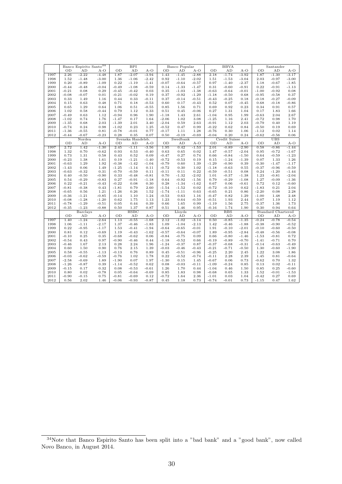|              |                    | Banco Espirito Santo <sup>34</sup> |                    |                    | <b>BPI</b>        |              |               | Banco Popular   |                 |                    | <b>BBVA</b>   |              |                    | Santander          |              |
|--------------|--------------------|------------------------------------|--------------------|--------------------|-------------------|--------------|---------------|-----------------|-----------------|--------------------|---------------|--------------|--------------------|--------------------|--------------|
|              | OD                 | AD                                 | $A-O$              | OD                 | AD                | $A-O$        | OD            | AD              | $A-O$           | OD                 | AD            | $A-O$        | OD                 | AD                 | $A-O$        |
| 1997         | 2.26               | $-2.22$                            | $-4.48$            | 1.87               | $-2.07$           | $-3.94$      | 1.43          | $-1.45$         | $-2.88$         | 2.18               | $-1.74$       | $-3.92$      | 1.87               | $-1.30$            | $-3.17$      |
| 1998         | 1.52               | $-1.48$                            | $-3.00$            | 1.36               | $-1.06$           | $-2.42$      | 0.92          | $-1.10$         | $-2.02$         | 1.51               | $-1.53$       | $-3.04$      | 2.03               | $-0.97$            | $-3.00$      |
| 1999         | 0.20               | $-0.89$                            | $-1.09$            | 0.22               | $-1.19$           | $-1.41$      | $-0.07$       | $-0.64$         | $-0.57$         | 0.97               | $-1.40$       | $-2.37$      | 1.18               | $-0.67$            | $-1.85$      |
| 2000         | $-0.44$            | $-0.48$                            | $-0.04$            | $-0.49$            | $-1.08$           | $-0.59$      | 0.14          | $-1.33$         | $-1.47$         | 0.31               | $-0.60$       | $-0.91$      | 0.22               | $-0.91$            | $-1.13$      |
| 2001         | $-0.21$            | 0.08                               | 0.29               | $-0.45$            | $-0.42$           | 0.03         | 0.35          | $-1.03$         | $-1.38$         | $-0.63$            | $-0.64$       | $-0.01$      | $-1.00$            | $-0.92$            | 0.08         |
| 2002         | $-0.08$            | $-0.07$                            | 0.01               | $-0.21$            | $-0.02$           | 0.19         | 0.37          | $-0.92$         | $-1.29$         | $-1.18$            | $-0.50$       | 0.68         | $-0.95$            | $-0.58$            | 0.37         |
| 2003         | 0.33               | 1.49                               | 1.16               | 0.44               | 0.33              | $-0.11$      | 0.37          | $-0.14$         | $-0.51$         | $-0.43$            | $-0.25$       | 0.18         | $-0.18$            | $-0.27$            | $-0.09$      |
| 2004         | 0.15               | 0.63                               | 0.48               | 0.71               | 0.18              | $-0.53$      | 0.60          | 0.17            | $-0.43$         | 0.52               | 0.07          | $-0.45$      | 0.68               | $-0.18$            | $-0.86$      |
| 2005         | 0.65               | 1.29                               | 0.64               | 1.06               | 0.51              | $-0.55$      | 0.85          | 1.56            | 0.71            | 0.69               | 0.92          | 0.23         | 0.34               | 0.91               | 0.57         |
| 2006         | 1.02               | 0.58                               | $-0.44$            | 0.79               | 1.12              | 0.33         | 0.51          | 0.45            | $-0.06$         | 0.27               | 1.31          | 1.04         | 0.17               | 1.83               | 1.66         |
| 2007         | $-0.49$            | 0.63                               | 1.12               | $-0.94$            | 0.96              | 1.90         | -1.18         | 1.43            | 2.61            | $-1.04$            | 0.95          | 1.99         | $-0.63$            | 2.04               | 2.67         |
| 2008         | $-1.02$            | 0.74                               | 1.76               | $-1.47$            | 0.17              | 1.64         | $-2.06$       | 1.02            | 3.08            | $-1.25$            | 1.16          | 2.41         | $-0.72$            | 0.98               | 1.70         |
| 2009         | $-1.35$            | 0.68                               | 2.03               | $-1.39$            | 2.01              | 3.40         | $-2.04$       | 0.59            | 2.63            | $-0.91$            | 1.12          | 2.03         | $-0.79$            | 0.40               | 1.19         |
| 2010         | $-0.74$<br>$-1.36$ | 0.24<br>$-0.55$                    | 0.98               | $-1.02$<br>$-0.78$ | 0.23<br>$-0.01$   | 1.25<br>0.77 | $-0.52$       | 0.47            | 0.99<br>1.28    | $-0.22$<br>$-0.76$ | 0.62<br>0.30  | 0.84<br>1.06 | $-0.50$            | 0.19<br>0.02       | 0.69<br>1.14 |
| 2011<br>2012 | $-0.44$            | -0.67                              | 0.81<br>$-0.23$    | 0.28               | 0.35              | 0.07         | -0.17<br>0.50 | 1.11<br>$-0.19$ | $-0.69$         | $-0.04$            | 0.20          | 0.24         | $-1.12$<br>$-0.62$ | $-0.56$            | 0.06         |
|              |                    | Nordea                             |                    |                    | Svenska Handelsb. |              |               | Swedbank        |                 |                    | Credit Suisse |              |                    | UBS                |              |
|              | OD                 | AD                                 | $A-O$              | OD                 | AD                | $A-O$        | OD            | AD              | $A-O$           | OD                 | AD            | $A-O$        | OD                 | AD                 | $A-O$        |
| 1997         | 2.72               | 1.42                               | $-1.30$            | 2.45               | $-1.11$           | $-3.56$      | 1.95          | 0.42            | $-1.53$         | 2.01               | $-0.89$       | $-2.90$      | 0.58               | $-0.86$            | $-1.44$      |
| 1998         | 1.32               | 0.70                               | $-0.62$            | 0.93               | 0.53              | $-0.40$      | 0.63          | 0.65            | 0.02            | 1.47               | $-0.57$       | $-2.04$      | 0.95               | $-0.72$            | $-1.67$      |
| 1999         | 0.73               | 1.31                               | 0.58               | 0.43               | 0.52              | 0.09         | $-0.47$       | 0.27            | 0.74            | 0.66               | $-0.84$       | $-1.50$      | 0.64               | $-0.59$            | $-1.23$      |
| 2000         | $-0.23$            | 1.38                               | 1.61               | 0.19               | $-1.21$           | $-1.40$      | $-0.72$       | $-0.53$         | 0.19            | 0.15               | $-1.24$       | $-1.39$      | 0.07               | 1.33               | 1.26         |
| 2001         | $-0.63$            | 1.29                               | 1.92               | $-0.38$            | $-1.42$           | $-1.04$      | -0.79         | 0.60            | 1.39            | $-1.29$            | $-0.90$       | 0.39         | $-0.30$            | $-1.47$            | $-1.17$      |
| 2002         | $-1.43$            | 0.06                               | 1.49               | $-1.25$            | $-1.14$           | 0.11         | $-0.72$       | 0.30            | 1.02            | $-1.18$            | $-0.63$       | 0.55         | $-0.37$            | $-0.96$            | $-0.59$      |
| 2003         | $-0.63$            | $-0.32$                            | 0.31               | $-0.70$            | $-0.59$           | 0.11         | $-0.11$       | 0.11            | 0.22            | $-0.59$            | $-0.51$       | 0.08         | 0.24               | $-1.20$            | $-1.44$      |
| 2004         | 0.40               | $-0.50$                            | $-0.90$            | 0.33               | $-0.48$           | $-0.81$      | 0.70          | $-1.32$         | $-2.02$         | 1.01               | $-0.37$       | $-1.38$      | 1.23               | $-0.81$            | $-2.04$      |
| 2005         | 0.54               | $-0.29$                            | $-0.83$            | 0.27               | $-0.91$           | $-1.18$      | 0.64          | $-0.92$         | $-1.56$         | 0.79               | $-0.29$       | $-1.08$      | 1.27               | $-0.09$            | $-1.36$      |
| 2006         | 0.22               | $-0.21$                            | $-0.43$            | $-0.22$            | 0.08              | 0.30         | 0.28          | $-1.34$         | $-1.62$         | 0.67               | 0.06          | $-0.61$      | 0.72               | 0.12               | $-0.60$      |
| 2007         | $-0.81$            | $-0.38$                            | 0.43               | $-1.81$            | 0.79              | 2.60         | $-1.54$       | $-1.52$         | 0.02            | $-0.72$            | $-0.10$       | 0.62         | $-1.83$            | 0.21               | 2.04         |
| 2008         | $-0.65$            | 0.56                               | 1.21               | $-1.26$            | 0.26              | 1.52         | $-1.74$       | $-1.11$         | 0.63            | $-0.65$            | 0.21          | 0.86         | $-2.20$            | 0.08               | 2.28         |
| 2009         | $-0.36$            | $-1.21$                            | $-0.85$            | $-0.14$            | 1.10              | 1.24         | $-0.53$       | 0.63            | 1.16            | $-0.47$            | 0.82          | 1.29         | $-1.00$            | 1.48               | 2.48         |
| 2010<br>2011 | $-0.08$<br>$-0.78$ | $-1.28$                            | $-1.20$<br>$-0.51$ | 0.62<br>0.05       | 1.75<br>0.44      | 1.13<br>0.39 | 1.23<br>0.66  | 0.64<br>1.65    | $-0.59$<br>0.99 | $-0.51$<br>$-1.19$ | 1.93<br>1.56  | 2.44<br>2.75 | 0.07<br>$-0.37$    | 1.19<br>1.36       | 1.12         |
| 2012         | $-0.35$            | $-1.29$<br>$-1.23$                 | $-0.88$            | 0.50               | 1.37              | 0.87         | 0.51          | 1.46            | 0.95            | $-0.16$            | 1.74          | 1.90         | 0.30               | 0.94               | 1.73<br>0.64 |
|              |                    | <b>Barclays</b>                    |                    |                    | <b>HSBC</b>       |              |               | Lloyds          |                 |                    | <b>RBS</b>    |              |                    | Standard Chartered |              |
|              | OD                 | AD                                 | $A-O$              | OD                 | AD                | $A-O$        | OD            | AD              | $A-O$           | OD<br>AD<br>$A-O$  |               |              | OD                 | AD                 | A-O          |
| 1997         | 1.40               | $-1.24$                            | $-2.64$            | 1.13               | $-0.55$           | $-1.68$      | 2.12          | $-1.02$         | $-3.14$         | 0.50               | $-0.85$       | $-1.35$      | $-0.24$            | $-0.78$            | $-0.54$      |
| 1998         | 1.06               | $-1.11$                            | $-2.17$            | 1.37               | $-0.46$           | $-1.83$      | 1.09          | $-1.04$         | $-2.13$         | 1.42               | $-0.46$       | $-1.88$      | $-0.38$            | $-0.90$            | $-0.52$      |
| 1999         | 0.22               | $-0.95$                            | $-1.17$            | 1.53               | $-0.41$           | $-1.94$      | -0.64         | $-0.65$         | $-0.01$         | 1.91               | $-0.10$       | $-2.01$      | $-0.10$            | $-0.60$            | $-0.50$      |
| 2000         | 0.81               | 0.12                               | $-0.69$            | 1.19               | $-0.43$           | $-1.62$      | -0.57         | $-0.64$         | $-0.07$         | 1.89               | $-0.95$       | $-2.84$      | $-0.48$            | $-0.56$            | $-0.08$      |
| 2001         | $-0.10$            | 0.25                               | 0.35               | $-0.68$            | $-0.62$           | 0.06         | $-0.84$       | $-0.75$         | 0.09            | 0.66               | $-0.80$       | $-1.46$      | $-1.53$            | $-0.81$            | 0.72         |
| 2002         | $-0.54$            | 0.43                               | 0.97               | $-0.90$            | $-0.46$           | 0.44         | $-1.18$       | $-0.52$         | 0.66            | $-0.19$            | $-0.89$       | $-0.70$      | $-1.41$            | $-0.71$            | 0.70         |
| 2003         | $-0.46$            | 1.67                               | 2.13               | 0.28               | 2.24              | 1.96         | $-1.24$       | $-0.37$         | 0.87            | $-0.37$            | $-0.68$       | $-0.31$      | $-0.14$            | $-0.63$            | $-0.49$      |
| 2004         | 0.60               | 1.50                               | 0.90               | 0.76               | 2.15              | 1.39         | -0.03         | $-0.46$         | $-0.43$         | $-0.21$            | $-0.71$       | $-0.50$      | 1.30               | $-0.60$            | $-1.90$      |
| 2005         | 0.58               | $-0.55$                            | $-1.13$            | $-0.13$            | 0.76              | 0.89         | 0.45          | $-0.51$         | $-0.96$         | $-0.25$            | 2.20          | 2.45         | 1.22               | 3.08               | 1.86         |
| 2006         | $-0.03$            | $-0.62$                            | $-0.59$            | $-0.76$            | 1.02              | 1.78         | 0.22          | $-0.52$         | $-0.74$         | $-0.11$            | 2.28          | 2.39         | 1.45               | 0.81               | $-0.64$      |
| 2007         | $-2.58$            | $-0.69$                            | 1.89               | $-1.90$            | 0.07              | 1.97         | $-1.30$       | 0.15            | 1.45            | $-0.67$            | 0.06          | 0.73         | $-0.62$            | 0.70               | 1.32         |
| 2008         | $-1.26$            | -0.87                              | 0.39               | $-1.14$            | $-0.52$           | 0.62         | 0.08          | $-0.03$         | $-0.11$         | $-1.09$            | $-0.24$       | 0.85         | 0.13               | 0.02               | $-0.11$      |
| 2009         | $-0.15$            | 0.17                               | 0.32               | 0.08               | $-0.53$           | $-0.61$      | 1.26          | 1.70            | 0.44            | $-1.04$            | 0.46          | 1.50         | 0.85               | 0.25               | $-0.60$      |
| 2010         | 0.80               | 0.02                               | $-0.78$            | 0.05               | $-0.64$           | $-0.69$      | 0.85          | 1.83            | 0.98            | $-0.68$            | 0.65          | 1.33         | 1.52               | $-0.01$            | $-1.53$      |
| 2011         | $-0.90$            | $-0.15$                            | 0.75               | $-0.81$            | $-0.69$           | 0.12         | $-0.72$       | 1.64            | 2.36            | $-1.01$            | 0.03          | 1.04         | $-0.42$            | 0.27               | 0.69         |
| 2012         | 0.56               | 2.02                               | 1.46               | $-0.06$            | $-0.93$           | $-0.87$      | 0.45          | 1.18            | 0.73            | $-0.74$            | $-0.01$       | 0.73         | $-1.15$            | 0.47               | 1.62         |

Note that Banco Espirito Santo has been split into a "bad bank" and a "good bank", now called Novo Banco, in August 2014.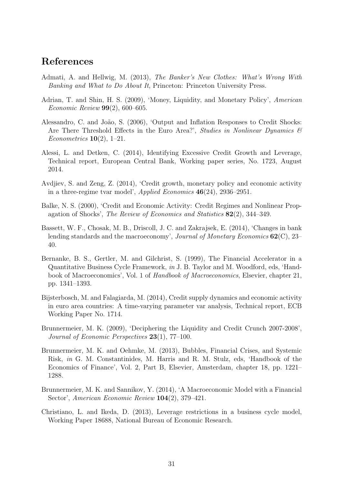### References

- Admati, A. and Hellwig, M. (2013), The Banker's New Clothes: What's Wrong With Banking and What to Do About It, Princeton: Princeton University Press.
- Adrian, T. and Shin, H. S. (2009), 'Money, Liquidity, and Monetary Policy', American *Economic Review* **99** $(2)$ , 600–605.
- Alessandro, C. and João, S. (2006), 'Output and Inflation Responses to Credit Shocks: Are There Threshold Effects in the Euro Area?', Studies in Nonlinear Dynamics  $\mathcal{B}$ Econometrics  $10(2)$ , 1–21.
- Alessi, L. and Detken, C. (2014), Identifying Excessive Credit Growth and Leverage, Technical report, European Central Bank, Working paper series, No. 1723, August 2014.
- Avdjiev, S. and Zeng, Z. (2014), 'Credit growth, monetary policy and economic activity in a three-regime tvar model', Applied Economics 46(24), 2936–2951.
- Balke, N. S. (2000), 'Credit and Economic Activity: Credit Regimes and Nonlinear Propagation of Shocks', The Review of Economics and Statistics 82(2), 344–349.
- Bassett, W. F., Chosak, M. B., Driscoll, J. C. and Zakrajsek, E. (2014), 'Changes in bank lending standards and the macroeconomy', Journal of Monetary Economics  $62(\text{C})$ , 23– 40.
- Bernanke, B. S., Gertler, M. and Gilchrist, S. (1999), The Financial Accelerator in a Quantitative Business Cycle Framework, in J. B. Taylor and M. Woodford, eds, 'Handbook of Macroeconomics', Vol. 1 of Handbook of Macroeconomics, Elsevier, chapter 21, pp. 1341–1393.
- Bijsterbosch, M. and Falagiarda, M. (2014), Credit supply dynamics and economic activity in euro area countries: A time-varying parameter var analysis, Technical report, ECB Working Paper No. 1714.
- Brunnermeier, M. K. (2009), 'Deciphering the Liquidity and Credit Crunch 2007-2008', Journal of Economic Perspectives 23(1), 77–100.
- Brunnermeier, M. K. and Oehmke, M. (2013), Bubbles, Financial Crises, and Systemic Risk, in G. M. Constantinides, M. Harris and R. M. Stulz, eds, 'Handbook of the Economics of Finance', Vol. 2, Part B, Elsevier, Amsterdam, chapter 18, pp. 1221– 1288.
- Brunnermeier, M. K. and Sannikov, Y. (2014), 'A Macroeconomic Model with a Financial Sector', American Economic Review 104(2), 379–421.
- Christiano, L. and Ikeda, D. (2013), Leverage restrictions in a business cycle model, Working Paper 18688, National Bureau of Economic Research.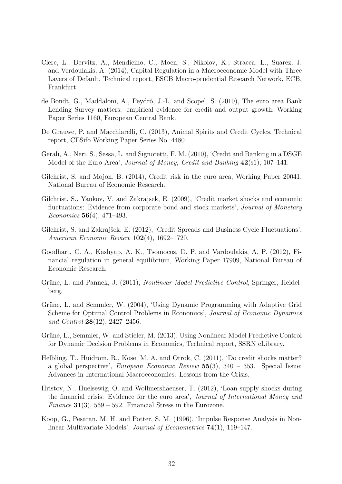- Clerc, L., Dervitz, A., Mendicino, C., Moen, S., Nikolov, K., Stracca, L., Suarez, J. and Verdoulakis, A. (2014), Capital Regulation in a Macroeconomic Model with Three Layers of Default, Technical report, ESCB Macro-prudential Research Network, ECB, Frankfurt.
- de Bondt, G., Maddaloni, A., Peydró, J.-L. and Scopel, S. (2010), The euro area Bank Lending Survey matters: empirical evidence for credit and output growth, Working Paper Series 1160, European Central Bank.
- De Grauwe, P. and Macchiarelli, C. (2013), Animal Spirits and Credit Cycles, Technical report, CESifo Working Paper Series No. 4480.
- Gerali, A., Neri, S., Sessa, L. and Signoretti, F. M. (2010), 'Credit and Banking in a DSGE Model of the Euro Area', Journal of Money, Credit and Banking  $42(s1)$ , 107–141.
- Gilchrist, S. and Mojon, B. (2014), Credit risk in the euro area, Working Paper 20041, National Bureau of Economic Research.
- Gilchrist, S., Yankov, V. and Zakrajsek, E. (2009), 'Credit market shocks and economic fluctuations: Evidence from corporate bond and stock markets', *Journal of Monetary* Economics 56(4), 471–493.
- Gilchrist, S. and Zakrajšek, E. (2012), 'Credit Spreads and Business Cycle Fluctuations', American Economic Review 102(4), 1692–1720.
- Goodhart, C. A., Kashyap, A. K., Tsomocos, D. P. and Vardoulakis, A. P. (2012), Financial regulation in general equilibrium, Working Paper 17909, National Bureau of Economic Research.
- Grüne, L. and Pannek, J. (2011), *Nonlinear Model Predictive Control*, Springer, Heidelberg.
- Grüne, L. and Semmler, W. (2004), 'Using Dynamic Programming with Adaptive Grid Scheme for Optimal Control Problems in Economics', Journal of Economic Dynamics and Control  $28(12)$ ,  $2427-2456$ .
- Grüne, L., Semmler, W. and Stieler, M. (2013), Using Nonlinear Model Predictive Control for Dynamic Decision Problems in Economics, Technical report, SSRN eLibrary.
- Helbling, T., Huidrom, R., Kose, M. A. and Otrok, C. (2011), 'Do credit shocks matter? a global perspective', European Economic Review 55(3), 340 – 353. Special Issue: Advances in International Macroeconomics: Lessons from the Crisis.
- Hristov, N., Huelsewig, O. and Wollmershaeuser, T. (2012), 'Loan supply shocks during the financial crisis: Evidence for the euro area', Journal of International Money and Finance  $31(3)$ , 569 – 592. Financial Stress in the Eurozone.
- Koop, G., Pesaran, M. H. and Potter, S. M. (1996), 'Impulse Response Analysis in Nonlinear Multivariate Models', Journal of Econometrics 74(1), 119–147.